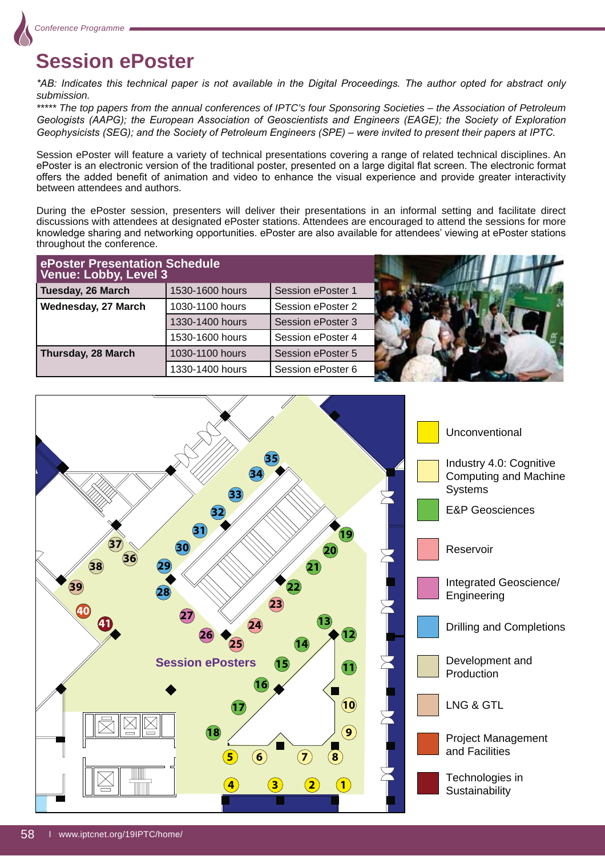

# **Session ePoster**

\*AB: Indicates this technical paper is not available in the Digital Proceedings. The author opted for abstract only *submission.*

*\*\*\*\*\* The top papers from the annual conferences of IPTC's four Sponsoring Societies – the Association of Petroleum*  Geologists (AAPG); the European Association of Geoscientists and Engineers (EAGE); the Society of Exploration Geophysicists (SEG); and the Society of Petroleum Engineers (SPE) – were invited to present their papers at IPTC.

Session ePoster will feature a variety of technical presentations covering a range of related technical disciplines. An ePoster is an electronic version of the traditional poster, presented on a large digital flat screen. The electronic format offers the added benefit of animation and video to enhance the visual experience and provide greater interactivity between attendees and authors.

During the ePoster session, presenters will deliver their presentations in an informal setting and facilitate direct discussions with attendees at designated ePoster stations. Attendees are encouraged to attend the sessions for more knowledge sharing and networking opportunities. ePoster are also available for attendees' viewing at ePoster stations throughout the conference.

| ePoster Presentation Schedule<br>Venue: Lobby, Level 3 |                 |                          |  |
|--------------------------------------------------------|-----------------|--------------------------|--|
| Tuesday, 26 March                                      | 1530-1600 hours | <b>Session ePoster 1</b> |  |
| Wednesday, 27 March                                    | 1030-1100 hours | Session ePoster 2        |  |
|                                                        | 1330-1400 hours | Session ePoster 3        |  |
|                                                        | 1530-1600 hours | Session ePoster 4        |  |
| Thursday, 28 March                                     | 1030-1100 hours | Session ePoster 5        |  |
|                                                        | 1330-1400 hours | Session ePoster 6        |  |

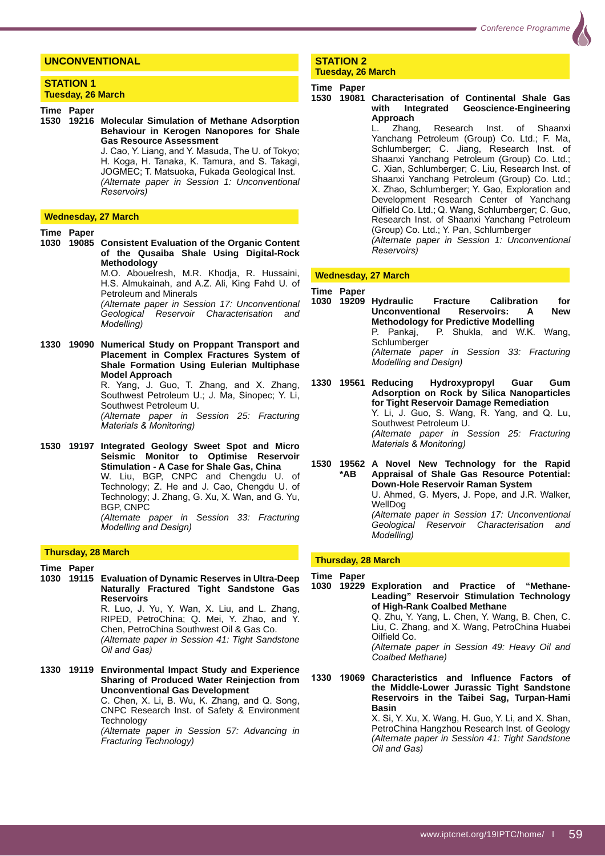# **UNCONVENTIONAL**

#### **STATION 1 Tuesday, 26 March**

**Time Paper** 

**1530 19216 Molecular Simulation of Methane Adsorption Behaviour in Kerogen Nanopores for Shale Gas Resource Assessment**

J. Cao, Y. Liang, and Y. Masuda, The U. of Tokvo: H. Koga, H. Tanaka, K. Tamura, and S. Takagi, JOGMEC; T. Matsuoka, Fukada Geological Inst. *(Alternate paper in Session 1: Unconventional*   $Reservoir's)$ 

#### **Wednesday, 27 March**

**Time Paper** 

**1030 19085 Consistent Evaluation of the Organic Content of the Qusaiba Shale Using Digital-Rock Methodology**

 M.O. Abouelresh, M.R. Khodja, R. Hussaini, H.S. Almukainah, and A.Z. Ali, King Fahd U. of Petroleum and Minerals

 *(Alternate paper in Session 17: Unconventional Geological Reservoir Characterisation and Modelling*)

**1330 19090 Numerical Study on Proppant Transport and Placement in Complex Fractures System of Shale Formation Using Eulerian Multiphase Model Approach**

R. Yang, J. Guo, T. Zhang, and X. Zhang, Southwest Petroleum U.; J. Ma, Sinopec; Y. Li, Southwest Petroleum U.

 *(Alternate paper in Session 25: Fracturing Materials & Monitoring)* 

**1530 19197 Integrated Geology Sweet Spot and Micro Seismic Monitor to Optimise Reservoir Stimulation - A Case for Shale Gas, China** W. Liu, BGP, CNPC and Chengdu U. of

Technology; Z. He and J. Cao, Chengdu U. of Technology; J. Zhang, G. Xu, X. Wan, and G. Yu, BGP, CNPC

 *(Alternate paper in Session 33: Fracturing Modelling and Design)* 

#### **Thursday, 28 March**

**Time Paper** 

- **1030 19115 Evaluation of Dynamic Reserves in Ultra-Deep Naturally Fractured Tight Sandstone Gas Reservoirs** R. Luo, J. Yu, Y. Wan, X. Liu, and L. Zhang, RIPED, PetroChina; Q. Mei, Y. Zhao, and Y. Chen, PetroChina Southwest Oil & Gas Co. *(Alternate paper in Session 41: Tight Sandstone <u>Oil</u> and Gas)*
- **1330 19119 Environmental Impact Study and Experience Sharing of Produced Water Reinjection from Unconventional Gas Development** C. Chen, X. Li, B. Wu, K. Zhang, and Q. Song, CNPC Research Inst. of Safety & Environment **Technology**  *(Alternate paper in Session 57: Advancing in Fracturing Technology)*

#### **STATION 2 Tuesday, 26 March**

#### **Time Paper**

# **1530 19081 Characterisation of Continental Shale Gas with Integrated Geoscience-Engineering**

**Approach** L. Zhang, Research Inst. of Shaanxi Yanchang Petroleum (Group) Co. Ltd.; F. Ma, Schlumberger; C. Jiang, Research Inst. of Shaanxi Yanchang Petroleum (Group) Co. Ltd.; C. Xian, Schlumberger; C. Liu, Research Inst. of Shaanxi Yanchang Petroleum (Group) Co. Ltd.; X. Zhao, Schlumberger; Y. Gao, Exploration and Development Research Center of Yanchang Oilfield Co. Ltd.; Q. Wang, Schlumberger; C. Guo, Research Inst. of Shaanxi Yanchang Petroleum (Group) Co. Ltd.; Y. Pan, Schlumberger *(Alternate paper in Session 1: Unconventional*   $Reservoir's)$ 

#### **Wednesday, 27 March**

**Time Paper** 

- **1030 19209 Hydraulic Fracture Calibration for Unconventional Reservoirs: A New Methodology for Predictive Modelling**<br>P. Pankai, P. Shukla, and W.K. P. Shukla, and W.K. Wang, Schlumberger *(Alternate paper in Session 33: Fracturing Modelling and Design)*
- **1330 19561 Reducing Hydroxypropyl Guar Gum Adsorption on Rock by Silica Nanoparticles for Tight Reservoir Damage Remediation** Y. Li, J. Guo, S. Wang, R. Yang, and Q. Lu, Southwest Petroleum U. *(Alternate paper in Session 25: Fracturing Materials & Monitoring)*

**1530 19562 A Novel New Technology for the Rapid**  Appraisal of Shale Gas Resource Potential:  **Down-Hole Reservoir Raman System** U. Ahmed, G. Myers, J. Pope, and J.R. Walker, WellDog *(Alternate paper in Session 17: Unconventional Geological Reservoir Characterisation and Modellina*)

#### **Thursday, 28 March**

**Time Paper** 

**1030 19229 Exploration and Practice of "Methane-Leading" Reservoir Stimulation Technology of High-Rank Coalbed Methane** Q. Zhu, Y. Yang, L. Chen, Y. Wang, B. Chen, C. Liu, C. Zhang, and X. Wang, PetroChina Huabei Oilfield Co

> *(Alternate paper in Session 49: Heavy Oil and*   $Coalbed Methane)$

1330 19069 Characteristics and Influence Factors of **the Middle-Lower Jurassic Tight Sandstone Reservoirs in the Taibei Sag, Turpan-Hami Basin**

> X. Si, Y. Xu, X. Wang, H. Guo, Y. Li, and X. Shan, PetroChina Hangzhou Research Inst. of Geology *(Alternate paper in Session 41: Tight Sandstone <i><u>Dil</u>* and Gas)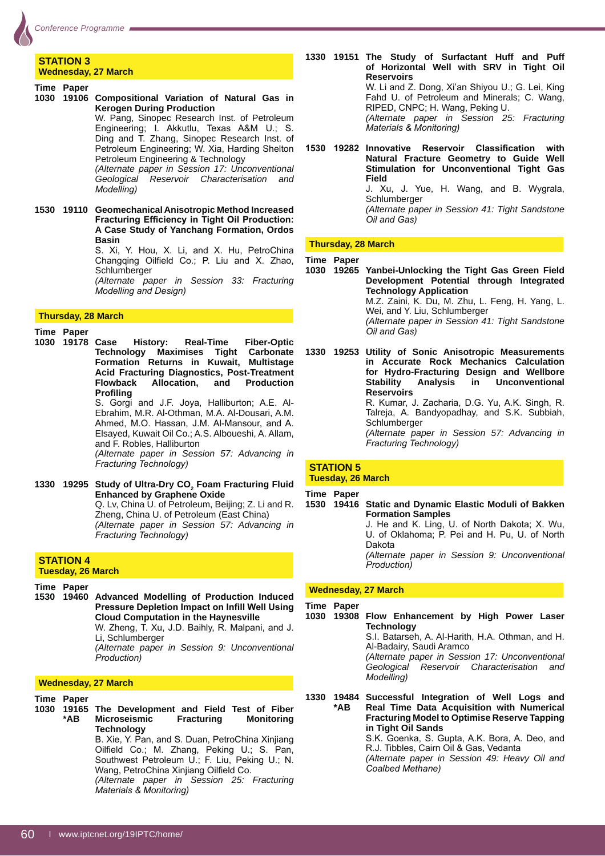#### **STATION 3 Wednesday, 27 March**

**Time Paper** 

**1030 19106 Compositional Variation of Natural Gas in Kerogen During Production**

 W. Pang, Sinopec Research Inst. of Petroleum Engineering; I. Akkutlu, Texas A&M U.; S. Ding and T. Zhang, Sinopec Research Inst. of Petroleum Engineering; W. Xia, Harding Shelton Petroleum Engineering & Technology *(Alternate paper in Session 17: Unconventional* 

*Geological Reservoir Characterisation and Modelling*)

**1530 19110 Geomechanical Anisotropic Method Increased Fracturing Efficiency in Tight Oil Production: A Case Study of Yanchang Formation, Ordos Basin**

S. Xi, Y. Hou, X. Li, and X. Hu, PetroChina Changqing Oilfield Co.; P. Liu and X. Zhao, Schlumberger

 *(Alternate paper in Session 33: Fracturing Modelling and Design)* 

#### **Thursday, 28 March**

**Time Paper** 

**1030 19178 Case History: Real-Time Fiber-Optic Technology Maximises Tight Carbonate Formation Returns in Kuwait, Multistage Acid Fracturing Diagnostics, Post-Treatment Flowback Allocation, Profiling** S. Gorgi and J.F. Joya, Halliburton; A.E. Al-Ebrahim, M.R. Al-Othman, M.A. Al-Dousari, A.M. Ahmed, M.O. Hassan, J.M. Al-Mansour, and A. Elsayed, Kuwait Oil Co.; A.S. Alboueshi, A. Allam, and F. Robles, Halliburton

 *(Alternate paper in Session 57: Advancing in*  **Fracturing Technology)** 

1330 19295 Study of Ultra-Dry CO<sub>2</sub> Foam Fracturing Fluid **Enhanced by Graphene Oxide** Q. Lv, China U. of Petroleum, Beijing; Z. Li and R. Zheng, China U. of Petroleum (East China) *(Alternate paper in Session 57: Advancing in*  **Fracturing Technology)** 

# **STATION 4**

**Tuesday, 26 March**

**Time Paper** 

**1530 19460 Advanced Modelling of Production Induced Pressure Depletion Impact on Infill Well Using Cloud Computation in the Haynesville** W. Zheng, T. Xu, J.D. Baihly, R. Malpani, and J.

Li, Schlumberger

 *(Alternate paper in Session 9: Unconventional*   $Production)$ 

# **Wednesday, 27 March**

**Time Paper 1030 19165 The Development and Field Test of Fiber \*AB Microseismic Fracturing Monitoring Technology** B. Xie, Y. Pan, and S. Duan, PetroChina Xinjiang Oilfield Co.; M. Zhang, Peking U.; S. Pan, Southwest Petroleum U.; F. Liu, Peking U.; N. Wang, PetroChina Xinjiang Oilfield Co. *(Alternate paper in Session 25: Fracturing Materials & Monitoring)* 

**1330 19151 The Study of Surfactant Huff and Puff of Horizontal Well with SRV in Tight Oil Reservoirs** W. Li and Z. Dong, Xi'an Shiyou U.; G. Lei, King Fahd U. of Petroleum and Minerals; C. Wang, RIPED, CNPC; H. Wang, Peking U. *(Alternate paper in Session 25: Fracturing Materials & Monitoring)* 

1530 19282 Innovative Reservoir Classification with **Natural Fracture Geometry to Guide Well Stimulation for Unconventional Tight Gas Field** J. Xu, J. Yue, H. Wang, and B. Wygrala, Schlumberger

 *(Alternate paper in Session 41: Tight Sandstone <u>Oil</u> and Gas)* 

## **Thursday, 28 March**

**Time Paper**

**1030 19265 Yanbei-Unlocking the Tight Gas Green Field Development Potential through Integrated Technology Application** M.Z. Zaini, K. Du, M. Zhu, L. Feng, H. Yang, L. Wei, and Y. Liu, Schlumberger *(Alternate paper in Session 41: Tight Sandstone*   $\overline{O}$ *il* and Gas)

**1330 19253 Utility of Sonic Anisotropic Measurements in Accurate Rock Mechanics Calculation for Hydro-Fracturing Design and Wellbore Stability Analysis in Unconventional Reservoirs** R. Kumar. J. Zacharia. D.G. Yu. A.K. Singh. R. Talreja, A. Bandyopadhay, and S.K. Subbiah, Schlumberger *(Alternate paper in Session 57: Advancing in Fracturing Technology)* 

## **STATION 5 Tuesday, 26 March**

**Time Paper 1530 19416 Static and Dynamic Elastic Moduli of Bakken Formation Samples** J. He and K. Ling, U. of North Dakota; X. Wu, U. of Oklahoma; P. Pei and H. Pu, U. of North Dakota *(Alternate paper in Session 9: Unconventional*   $Production)$ 

## **Wednesday, 27 March**

**Time Paper** 

#### **1030 19308 Flow Enhancement by High Power Laser Technology**

 S.I. Batarseh, A. Al-Harith, H.A. Othman, and H. Al-Badairy, Saudi Aramco

 *(Alternate paper in Session 17: Unconventional Geological Reservoir Characterisation and Modellina*)

**1330 19484 Successful Integration of Well Logs and \*AB Real Time Data Acquisition with Numerical Fracturing Model to Optimise Reserve Tapping in Tight Oil Sands**

S.K. Goenka, S. Gupta, A.K. Bora, A. Deo, and R.J. Tibbles, Cairn Oil & Gas, Vedanta *(Alternate paper in Session 49: Heavy Oil and*  Coalbed Methane)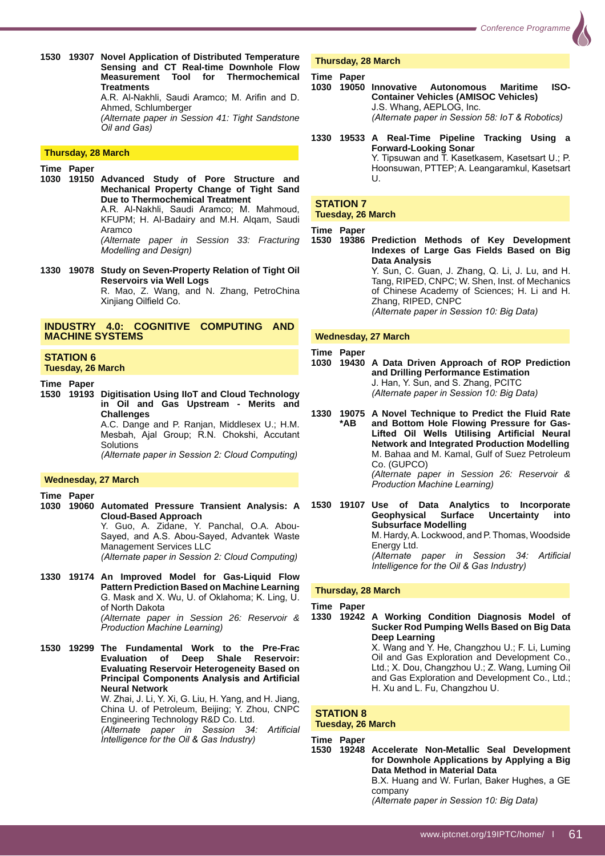**1530 19307 Novel Application of Distributed Temperature Sensing and CT Real-time Downhole Flow Measurement Tool for Thermochemical Treatments** A.R. Al-Nakhli, Saudi Aramco; M. Arifin and D. Ahmed, Schlumberger *(Alternate paper in Session 41: Tight Sandstone <u>Oil</u> and Gas)* 

#### **Thursday, 28 March**

- **Time Paper**
- **1030 19150 Advanced Study of Pore Structure and Mechanical Property Change of Tight Sand Due to Thermochemical Treatment**

A.R. Al-Nakhli, Saudi Aramco; M. Mahmoud, KFUPM; H. Al-Badairy and M.H. Alqam, Saudi Aramco

 *(Alternate paper in Session 33: Fracturing Modelling and Design)* 

**1330 19078 Study on Seven-Property Relation of Tight Oil Reservoirs via Well Logs** R. Mao, Z. Wang, and N. Zhang, PetroChina Xinjiang Oilfield Co.

#### **INDUSTRY 4.0: COGNITIVE COMPUTING AND MACHINE SYSTEMS**

# **STATION 6**

# **Tuesday, 26 March**

- **Time Paper**
- **1530 19193 Digitisation Using IIoT and Cloud Technology in Oil and Gas Upstream - Merits and Challenges** A.C. Dange and P. Ranjan, Middlesex U.; H.M.

Mesbah, Ajal Group; R.N. Chokshi, Accutant **Solutions** *(Alternate paper in Session 2: Cloud Computing)* 

#### **Wednesday, 27 March**

**Time Paper 1030 19060 Automated Pressure Transient Analysis: A Cloud-Based Approach**

> Y. Guo, A. Zidane, Y. Panchal, O.A. Abou-Sayed, and A.S. Abou-Sayed, Advantek Waste Management Services LLC *(Alternate paper in Session 2: Cloud Computing)*

**1330 19174 An Improved Model for Gas-Liquid Flow Pattern Prediction Based on Machine Learning** G. Mask and X. Wu, U. of Oklahoma; K. Ling, U. of North Dakota *(Alternate paper in Session 26: Reservoir & Production Machine Learning)* 

**1530 19299 The Fundamental Work to the Pre-Frac Evaluation of Deep Shale Reservoir: Evaluating Reservoir Heterogeneity Based on Principal Components Analysis and Artificial Neural Network** W. Zhai, J. Li, Y. Xi, G. Liu, H. Yang, and H. Jiang, China U. of Petroleum, Beijing; Y. Zhou, CNPC Engineering Technology R&D Co. Ltd.

*(Alternate paper in Session 34: Artificial Intelligence for the Oil & Gas Industry)* 

#### **Thursday, 28 March**

#### **Time Paper**

- **1030 19050 Innovative Autonomous Maritime ISO-Container Vehicles (AMISOC Vehicles)** J.S. Whang, AEPLOG, Inc. *(Alternate paper in Session 58: IoT & Robotics)*
- **1330 19533 A Real-Time Pipeline Tracking Using a Forward-Looking Sonar** Y. Tipsuwan and T. Kasetkasem, Kasetsart U.; P. Hoonsuwan, PTTEP; A. Leangaramkul, Kasetsart  $\mathbf{U}$

#### **STATION 7 Tuesday, 26 March**

**Time Paper** 

**1530 19386 Prediction Methods of Key Development Indexes of Large Gas Fields Based on Big Data Analysis** Y. Sun, C. Guan, J. Zhang, Q. Li, J. Lu, and H. Tang, RIPED, CNPC; W. Shen, Inst. of Mechanics of Chinese Academy of Sciences; H. Li and H. Zhang, RIPED, CNPC *(Alternate paper in Session 10: Big Data)* 

#### **Wednesday, 27 March**

**Time Paper** 

- **1030 19430 A Data Driven Approach of ROP Prediction and Drilling Performance Estimation** J. Han, Y. Sun, and S. Zhang, PCITC *(Alternate paper in Session 10: Big Data)*
- **1330 19075 A Novel Technique to Predict the Fluid Rate \*AB and Bottom Hole Flowing Pressure for Gas- Lifted Oil Wells Utilising Artificial Neural Network and Integrated Production Modelling** M. Bahaa and M. Kamal, Gulf of Suez Petroleum Co. (GUPCO) *(Alternate paper in Session 26: Reservoir & Production Machine Learning)*
- **1530 19107 Use of Data Analytics to Incorporate Geophysical Surface Uncertainty into Subsurface Modelling** M. Hardy, A. Lockwood, and P. Thomas, Woodside Energy Ltd. *(Alternate paper in Session 34: Artificial Intelligence for the Oil & Gas Industry)*

#### **Thursday, 28 March**

**Time Paper**

**1330 19242 A Working Condition Diagnosis Model of Sucker Rod Pumping Wells Based on Big Data Deep Learning**

X. Wang and Y. He, Changzhou U.; F. Li, Luming Oil and Gas Exploration and Development Co., Ltd.; X. Dou, Changzhou U.; Z. Wang, Luming Oil and Gas Exploration and Development Co., Ltd.; H. Xu and L. Fu, Changzhou U.

# **STATION 8**

### **Tuesday, 26 March**

**Time Paper** 

**1530 19248 Accelerate Non-Metallic Seal Development for Downhole Applications by Applying a Big Data Method in Material Data** 

B.X. Huang and W. Furlan, Baker Hughes, a GE company

*(Alternate paper in Session 10: Big Data)*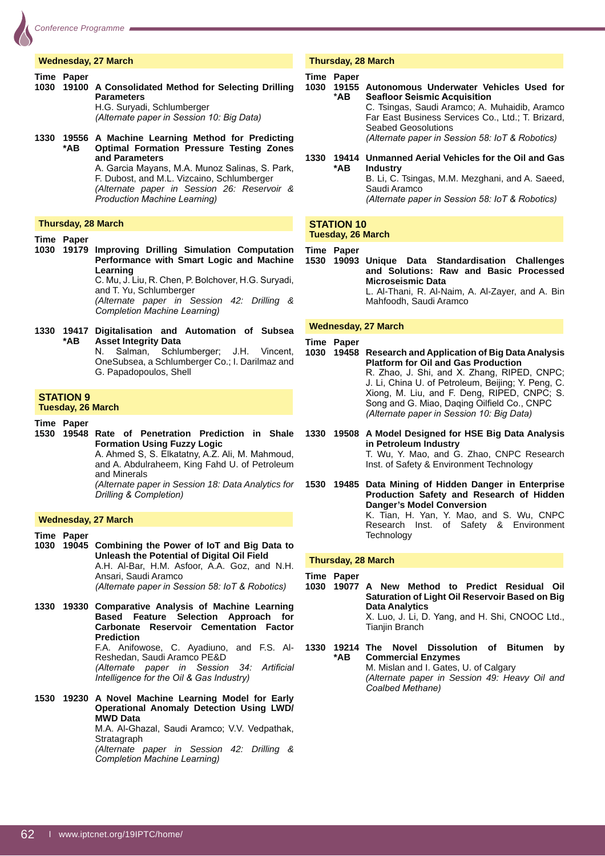

#### **Wednesday, 27 March**

#### **Time Paper**

- **1030 19100 A Consolidated Method for Selecting Drilling Parameters** H.G. Suryadi, Schlumberger *(Alternate paper in Session 10: Big Data)*
- **1330 19556 A Machine Learning Method for Predicting \*AB Optimal Formation Pressure Testing Zones and Parameters** A. Garcia Mayans, M.A. Munoz Salinas, S. Park,

F. Dubost, and M.L. Vizcaino, Schlumberger *(Alternate paper in Session 26: Reservoir & Production Machine Learning)* 

#### **Thursday, 28 March**

#### **Time Paper**

**1030 19179 Improving Drilling Simulation Computation Performance with Smart Logic and Machine Learning**

C. Mu, J. Liu, R. Chen, P. Bolchover, H.G. Suryadi, and T. Yu, Schlumberger

 *(Alternate paper in Session 42: Drilling &*  **Completion Machine Learning)** 

**1330 19417 Digitalisation and Automation of Subsea \*AB Asset Integrity Data**

N. Salman. Schlumberger: J.H. Vincent. OneSubsea, a Schlumberger Co.; I. Darilmaz and G. Papadopoulos, Shell

#### **STATION 9 Tuesday, 26 March**

**Time Paper** 

**1530 19548 Rate of Penetration Prediction in Shale Formation Using Fuzzy Logic** A. Ahmed S, S. Elkatatny, A.Z. Ali, M. Mahmoud,

and A. Abdulraheem, King Fahd U. of Petroleum and Minerals

 *(Alternate paper in Session 18: Data Analytics for Drilling & Completion)* 

#### **Wednesday, 27 March**

**Time Paper 1030 19045 Combining the Power of IoT and Big Data to Unleash the Potential of Digital Oil Field** A.H. Al-Bar, H.M. Asfoor, A.A. Goz, and N.H. Ansari, Saudi Aramco *(Alternate paper in Session 58: IoT & Robotics)* 

**1330 19330 Comparative Analysis of Machine Learning Based Feature Selection Approach for Carbonate Reservoir Cementation Factor Prediction** F.A. Anifowose, C. Ayadiuno, and F.S. Al-Reshedan, Saudi Aramco PE&D *Alternate paper in Session 34: Artificial intelligence for the Oil & Gas Industry)* 

**1530 19230 A Novel Machine Learning Model for Early Operational Anomaly Detection Using LWD/ MWD Data** M.A. Al-Ghazal, Saudi Aramco; V.V. Vedpathak, **Stratagraph** 

 *(Alternate paper in Session 42: Drilling &*  **Completion Machine Learning)** 

#### **Thursday, 28 March**

#### **Time Paper 1030 19155 Autonomous Underwater Vehicles Used for \*AB** Seafloor Seismic Acquisition C. Tsingas, Saudi Aramco; A. Muhaidib, Aramco Far East Business Services Co., Ltd.; T. Brizard, Seabed Geosolutions *(Alternate paper in Session 58: IoT & Robotics)*

**1330 19414 Unmanned Aerial Vehicles for the Oil and Gas \*AB Industry** B. Li, C. Tsingas, M.M. Mezghani, and A. Saeed, Saudi Aramco *(Alternate paper in Session 58: IoT & Robotics)* 

#### **STATION 10 Tuesday, 26 March**

**Time Paper**

**1530 19093 Unique Data Standardisation Challenges and Solutions: Raw and Basic Processed Microseismic Data** L. Al-Thani, R. Al-Naim, A. Al-Zayer, and A. Bin Mahfoodh, Saudi Aramco

#### **Wednesday, 27 March**

#### **Time Paper**

- **1030 19458 Research and Application of Big Data Analysis Platform for Oil and Gas Production** R. Zhao, J. Shi, and X. Zhang, RIPED, CNPC; J. Li, China U. of Petroleum, Beijing; Y. Peng, C. Xiong, M. Liu, and F. Deng, RIPED, CNPC; S. Song and G. Miao, Daqing Oilfield Co., CNPC *(Alternate paper in Session 10: Big Data)*
- **1330 19508 A Model Designed for HSE Big Data Analysis in Petroleum Industry** T. Wu, Y. Mao, and G. Zhao, CNPC Research Inst. of Safety & Environment Technology

**1530 19485 Data Mining of Hidden Danger in Enterprise Production Safety and Research of Hidden Danger's Model Conversion** K. Tian, H. Yan, Y. Mao, and S. Wu, CNPC Research Inst. of Safety & Environment **Technology** 

#### **Thursday, 28 March**

**Time Paper** 

**1030 19077 A New Method to Predict Residual Oil Saturation of Light Oil Reservoir Based on Big Data Analytics** X. Luo, J. Li, D. Yang, and H. Shi, CNOOC Ltd.,

Tianjin Branch

**1330 19214 The Novel Dissolution of Bitumen by \*AB Commercial Enzymes** M. Mislan and I. Gates, U. of Calgary *(Alternate paper in Session 49: Heavy Oil and*   $Coalbed Methane)$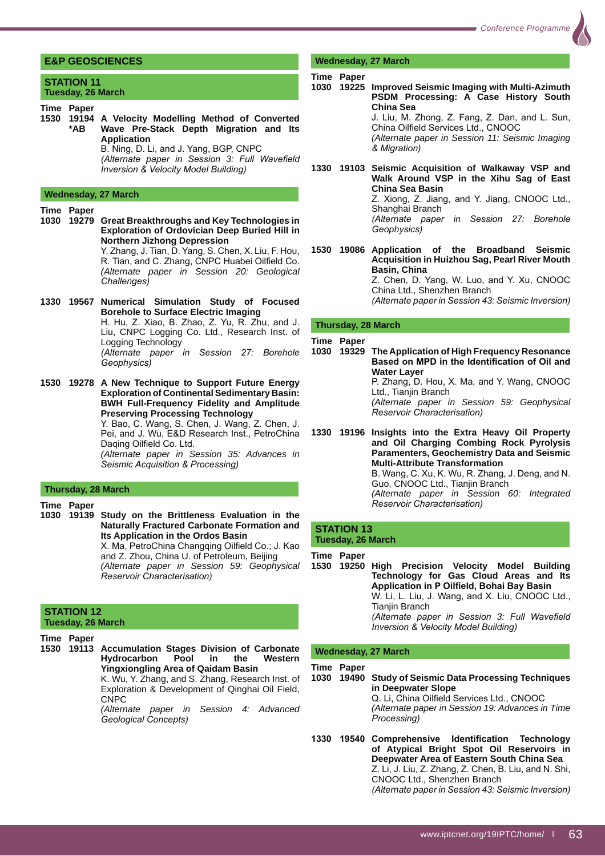#### **E&P GEOSCIENCES**

#### **STATION 11 Tuesday, 26 March**

- **Time Paper**
- **1530 19194 A Velocity Modelling Method of Converted Wave Pre-Stack Depth Migration and Its Application** B. Ning, D. Li, and J. Yang, BGP, CNPC

*(Alternate paper in Session 3: Full Wavefield Inversion & Velocity Model Building)* 

#### **Wednesday, 27 March**

**Time Paper** 

**1030 19279 Great Breakthroughs and Key Technologies in Exploration of Ordovician Deep Buried Hill in Northern Jizhong Depression** Y. Zhang, J. Tian, D. Yang, S. Chen, X. Liu, F. Hou,

R. Tian, and C. Zhang, CNPC Huabei Oilfield Co. *(Alternate paper in Session 20: Geological*   $Challenges)$ 

- **1330 19567 Numerical Simulation Study of Focused Borehole to Surface Electric Imaging** H. Hu, Z. Xiao, B. Zhao, Z. Yu, R. Zhu, and J. Liu, CNPC Logging Co. Ltd., Research Inst. of Logging Technology *(Alternate paper in Session 27: Borehole*  $\overline{Geophysics}$
- **1530 19278 A New Technique to Support Future Energy Exploration of Continental Sedimentary Basin: BWH Full-Frequency Fidelity and Amplitude Preserving Processing Technology**

Y. Bao, C. Wang, S. Chen, J. Wang, Z. Chen, J. Pei, and J. Wu, E&D Research Inst., PetroChina Daqing Oilfield Co. Ltd.

 *(Alternate paper in Session 35: Advances in*  **Seismic Acquisition & Processing)** 

#### **Thursday, 28 March**

#### **Time Paper**

**1030 19139 Study on the Brittleness Evaluation in the Naturally Fractured Carbonate Formation and Its Application in the Ordos Basin** X. Ma, PetroChina Changqing Oilfield Co.; J. Kao

and Z. Zhou, China U. of Petroleum, Beijing *(Alternate paper in Session 59: Geophysical*   $Reservoir Characterisation)$ 

#### **STATION 12 Tuesday, 26 March**

**Time Paper** 

**1530 19113 Accumulation Stages Division of Carbonate Hydrocarbon Pool in the Western Yingxiongling Area of Qaidam Basin** K. Wu, Y. Zhang, and S. Zhang, Research Inst. of

Exploration & Development of Qinghai Oil Field, CNPC

 *(Alternate paper in Session 4: Advanced*   $\overline{G}$ eological Concepts)

#### **Wednesday, 27 March**

#### **Time Paper**

**1030 19225 Improved Seismic Imaging with Multi-Azimuth PSDM Processing: A Case History South China Sea**

J. Liu, M. Zhong, Z. Fang, Z. Dan, and L. Sun, China Oilfield Services Ltd., CNOOC *(Alternate paper in Session 11: Seismic Imaging*   $&$ *Migration*)

**1330 19103 Seismic Acquisition of Walkaway VSP and Walk Around VSP in the Xihu Sag of East China Sea Basin**

Z. Xiong, Z. Jiang, and Y. Jiang, CNOOC Ltd., Shanghai Branch *(Alternate paper in Session 27: Borehole* 

 $Geophysics)$ 

**1530 19086 Application of the Broadband Seismic Acquisition in Huizhou Sag, Pearl River Mouth Basin, China** Z. Chen, D. Yang, W. Luo, and Y. Xu, CNOOC

China Ltd., Shenzhen Branch *(Alternate paper in Session 43: Seismic Inversion)* 

**Thursday, 28 March**

#### **Time Paper**

**1030 19329 The Application of High Frequency Resonance**  Based on MPD in the Identification of Oil and **Water Layer** P. Zhang, D. Hou, X. Ma, and Y. Wang, CNOOC Ltd., Tianjin Branch *(Alternate paper in Session 59: Geophysical*   $Reservoir Characterisation)$ 

**1330 19196 Insights into the Extra Heavy Oil Property and Oil Charging Combing Rock Pyrolysis Paramenters, Geochemistry Data and Seismic Multi-Attribute Transformation** B. Wang, C. Xu, K. Wu, R. Zhang, J. Deng, and N. Guo, CNOOC Ltd., Tianjin Branch *(Alternate paper in Session 60: Integrated*  **Reservoir Characterisation)** 

#### **STATION 13 Tuesday, 26 March**

**Time Paper 1530 19250 High Precision Velocity Model Building Technology for Gas Cloud Areas and Its**  Application in P Oilfield, Bohai Bay Basin W. Li, L. Liu, J. Wang, and X. Liu, CNOOC Ltd., Tianjin Branch *(Alternate paper in Session 3: Full Wavefield Inversion & Velocity Model Building)* 

#### **Wednesday, 27 March**

#### **Time Paper**

- **1030 19490 Study of Seismic Data Processing Techniques in Deepwater Slope** Q. Li, China Oilfield Services Ltd., CNOOC *(Alternate paper in Session 19: Advances in Time*   $Processing)$
- 1330 19540 Comprehensive Identification Technology **of Atypical Bright Spot Oil Reservoirs in Deepwater Area of Eastern South China Sea** Z. Li, J. Liu, Z. Zhang, Z. Chen, B. Liu, and N. Shi, CNOOC Ltd., Shenzhen Branch *(Alternate paper in Session 43: Seismic Inversion)*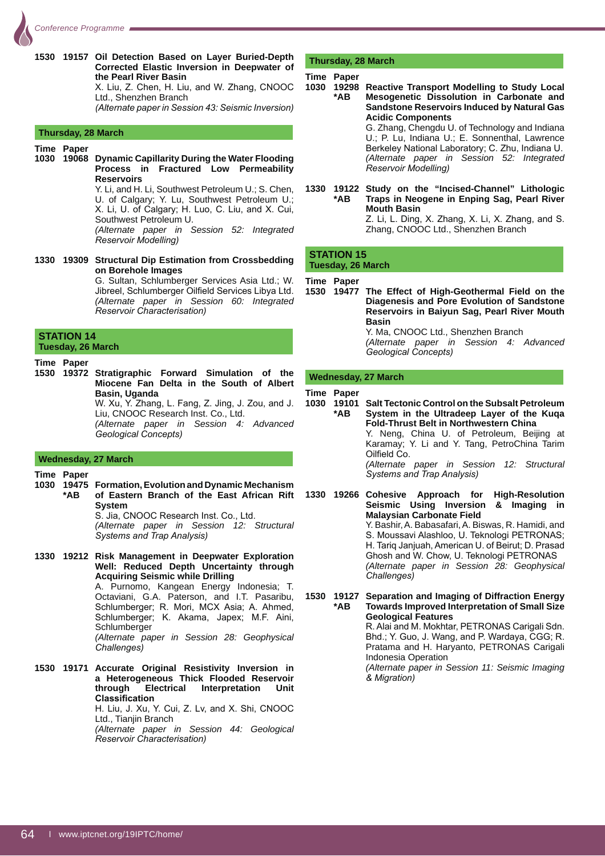

**1530 19157 Oil Detection Based on Layer Buried-Depth Corrected Elastic Inversion in Deepwater of the Pearl River Basin**

X. Liu, Z. Chen, H. Liu, and W. Zhang, CNOOC Ltd., Shenzhen Branch

*(Alternate paper in Session 43: Seismic Inversion)* 

#### **Thursday, 28 March**

#### **Time Paper**

**1030 19068 Dynamic Capillarity During the Water Flooding Process in Fractured Low Permeability Reservoirs** 

> Y. Li, and H. Li, Southwest Petroleum U.; S. Chen, U. of Calgary; Y. Lu, Southwest Petroleum U.; X. Li, U. of Calgary; H. Luo, C. Liu, and X. Cui, Southwest Petroleum U.

> *(Alternate paper in Session 52: Integrated Reservoir Modelling)*

**1330 19309 Structural Dip Estimation from Crossbedding on Borehole Images**

 G. Sultan, Schlumberger Services Asia Ltd.; W. Jibreel, Schlumberger Oilfield Services Libya Ltd. *(Alternate paper in Session 60: Integrated*   $R$ eservoir Characterisation)

#### **STATION 14 Tuesday, 26 March**

#### **Time Paper**

**1530 19372 Stratigraphic Forward Simulation of the Miocene Fan Delta in the South of Albert Basin, Uganda**

W. Xu, Y. Zhang, L. Fang, Z. Jing, J. Zou, and J. Liu, CNOOC Research Inst. Co., Ltd.

 *(Alternate paper in Session 4: Advanced*   $Geological Concepts$ 

#### **Wednesday, 27 March**

**Time Paper**

**1030 19475 Formation, Evolution and Dynamic Mechanism \*AB of Eastern Branch of the East African Rift System**

S. Jia, CNOOC Research Inst. Co., Ltd.  *(Alternate paper in Session 12: Structural Systems and Trap Analysis)* 

**1330 19212 Risk Management in Deepwater Exploration Well: Reduced Depth Uncertainty through Acquiring Seismic while Drilling**

 A. Purnomo, Kangean Energy Indonesia; T. Octaviani, G.A. Paterson, and I.T. Pasaribu, Schlumberger; R. Mori, MCX Asia; A. Ahmed, Schlumberger; K. Akama, Japex; M.F. Aini, Schlumberger  *(Alternate paper in Session 28: Geophysical*   $Challenges)$ 

**1530 19171 Accurate Original Resistivity Inversion in a Heterogeneous Thick Flooded Reservoir through Electrical Interpretation Unit Classification** H. Liu, J. Xu, Y. Cui, Z. Lv, and X. Shi, CNOOC Ltd., Tianjin Branch  *(Alternate paper in Session 44: Geological*   $R$ eservoir Characterisation)

#### **Thursday, 28 March**

#### **Time Paper**

- **1030 19298 Reactive Transport Modelling to Study Local \*AB Mesogenetic Dissolution in Carbonate and Sandstone Reservoirs Induced by Natural Gas Acidic Components** G. Zhang, Chengdu U. of Technology and Indiana U.; P. Lu, Indiana U.; E. Sonnenthal, Lawrence Berkeley National Laboratory; C. Zhu, Indiana U.  *(Alternate paper in Session 52: Integrated*   $Reservoir Modelling)$
- **1330 19122 Study on the "Incised-Channel" Lithologic \*AB Traps in Neogene in Enping Sag, Pearl River Mouth Basin** Z. Li, L. Ding, X. Zhang, X. Li, X. Zhang, and S. Zhang, CNOOC Ltd., Shenzhen Branch

#### **STATION 15 Tuesday, 26 March**

# **Time Paper**

**1530 19477 The Effect of High-Geothermal Field on the Diagenesis and Pore Evolution of Sandstone Reservoirs in Baiyun Sag, Pearl River Mouth Basin** Y. Ma, CNOOC Ltd., Shenzhen Branch *(Alternate paper in Session 4: Advanced* 

**Geological Concepts)** 

#### **Wednesday, 27 March**

#### **Time Paper**

**1030 19101 Salt Tectonic Control on the Subsalt Petroleum \*AB System in the Ultradeep Layer of the Kuqa Fold-Thrust Belt in Northwestern China** Y. Neng, China U. of Petroleum, Beijing at Karamay; Y. Li and Y. Tang, PetroChina Tarim Oilfield Co. *(Alternate paper in Session 12: Structural Systems and Trap Analysis)* 

**1330 19266 Cohesive Approach for High-Resolution Seismic Using Inversion & Imaging in Malaysian Carbonate Field** Y. Bashir, A. Babasafari, A. Biswas, R. Hamidi, and S. Moussavi Alashloo, U. Teknologi PETRONAS; H. Tariq Janjuah, American U. of Beirut; D. Prasad Ghosh and W. Chow, U. Teknologi PETRONAS *(Alternate paper in Session 28: Geophysical*   $Challenges)$ 

**1530 19127 Separation and Imaging of Diffraction Energy \*AB Towards Improved Interpretation of Small Size Geological Features** R. Alai and M. Mokhtar, PETRONAS Carigali Sdn.

Bhd.; Y. Guo, J. Wang, and P. Wardaya, CGG; R. Pratama and H. Haryanto, PETRONAS Carigali Indonesia Operation

 *(Alternate paper in Session 11: Seismic Imaging*   $&$  *Migration*)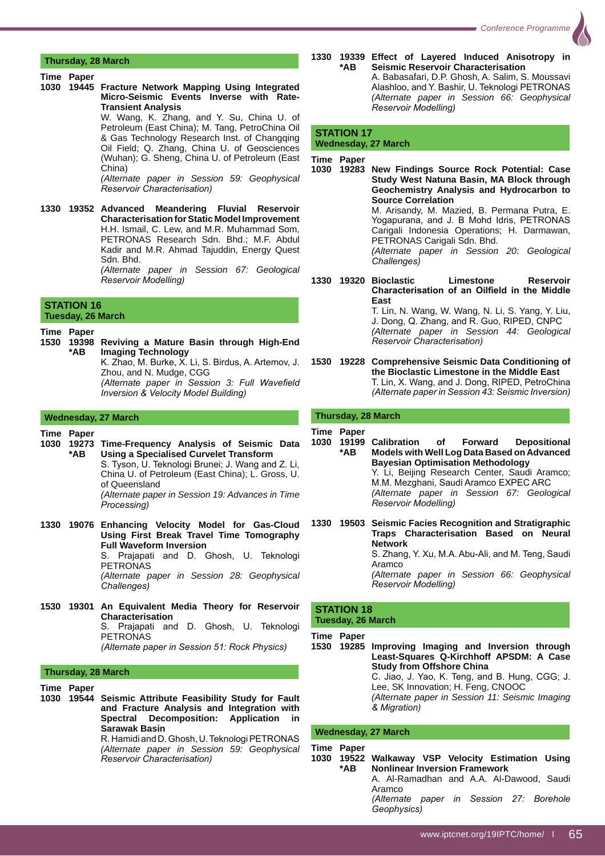**Thursday, 28 March**

#### **Time Paper**

**1030 19445 Fracture Network Mapping Using Integrated Micro-Seismic Events Inverse with Rate-Transient Analysis**

 W. Wang, K. Zhang, and Y. Su, China U. of Petroleum (East China); M. Tang, PetroChina Oil & Gas Technology Research Inst. of Changqing Oil Field; Q. Zhang, China U. of Geosciences (Wuhan); G. Sheng, China U. of Petroleum (East China)

 *(Alternate paper in Session 59: Geophysical Reservoir Characterisation)* 

**1330 19352 Advanced Meandering Fluvial Reservoir Characterisation for Static Model Improvement** H.H. Ismail, C. Lew, and M.R. Muhammad Som, PETRONAS Research Sdn. Bhd.; M.F. Abdul Kadir and M.R. Ahmad Tajuddin, Energy Quest Sdn. Bhd. *(Alternate paper in Session 67: Geological* 

**Reservoir Modelling)** 

#### **STATION 16 Tuesday, 26 March**

**Time Paper** 

**1530 19398 Reviving a Mature Basin through High-End Imaging Technology** K. Zhao, M. Burke, X. Li, S. Birdus, A. Artemov, J. Zhou, and N. Mudge, CGG *(Alternate paper in Session 3: Full Wavefield* 

*Inversion & Velocity Model Building)* 

#### **Wednesday, 27 March**

#### **Time Paper**

- **1030 19273 Time-Frequency Analysis of Seismic Data \*AB Using a Specialised Curvelet Transform** S. Tyson, U. Teknologi Brunei; J. Wang and Z. Li, China U. of Petroleum (East China); L. Gross, U. of Queensland *(Alternate paper in Session 19: Advances in Time*   $Processing)$
- **1330 19076 Enhancing Velocity Model for Gas-Cloud Using First Break Travel Time Tomography Full Waveform Inversion** S. Prajapati and D. Ghosh, U. Teknologi PETRONAS *(Alternate paper in Session 28: Geophysical*   $\dot{C}$ *hallenges*)
- **1530 19301 An Equivalent Media Theory for Reservoir Characterisation** S. Prajapati and D. Ghosh, U. Teknologi **PETRONAS** *(Alternate paper in Session 51: Rock Physics)*

#### **Thursday, 28 March**

**Time Paper**

**1030 19544 Seismic Attribute Feasibility Study for Fault and Fracture Analysis and Integration with Spectral Decomposition: Application in Sarawak Basin** R. Hamidi and D. Ghosh, U. Teknologi PETRONAS  *(Alternate paper in Session 59: Geophysical* 

 $Reservoir Characterisation)$ 

**1330 19339 Effect of Layered Induced Anisotropy in \*AB Seismic Reservoir Characterisation** A. Babasafari, D.P. Ghosh, A. Salim, S. Moussavi Alashloo, and Y. Bashir, U. Teknologi PETRONAS

 *(Alternate paper in Session 66: Geophysical*  **Reservoir Modelling)** 

# **STATION 17**

#### **Wednesday, 27 March**

**Time Paper**

**1030 19283 New Findings Source Rock Potential: Case Study West Natuna Basin, MA Block through Geochemistry Analysis and Hydrocarbon to Source Correlation** M. Arisandy, M. Mazied, B. Permana Putra, E.

Yogapurana, and J. B Mohd Idris, PETRONAS Carigali Indonesia Operations; H. Darmawan, PETRONAS Carigali Sdn. Bhd.

 *(Alternate paper in Session 20: Geological*   $Challenges)$ 

**1330 19320 Bioclastic Limestone Reservoir**  Characterisation of an Oilfield in the Middle **East**

 T. Lin, N. Wang, W. Wang, N. Li, S. Yang, Y. Liu, J. Dong, Q. Zhang, and R. Guo, RIPED, CNPC *(Alternate paper in Session 44: Geological Reservoir Characterisation)* 

**1530 19228 Comprehensive Seismic Data Conditioning of the Bioclastic Limestone in the Middle East** T. Lin, X. Wang, and J. Dong, RIPED, PetroChina *(Alternate paper in Session 43: Seismic Inversion)* 

#### **Thursday, 28 March**

**Time Paper**

- **1030 19199 Calibration of Forward Depositional \*AB Models with Well Log Data Based on Advanced Bayesian Optimisation Methodology** Y. Li, Beijing Research Center, Saudi Aramco; M.M. Mezghani, Saudi Aramco EXPEC ARC *(Alternate paper in Session 67: Geological*   $R$ eservoir Modelling)
- **1330 19503 Seismic Facies Recognition and Stratigraphic Traps Characterisation Based on Neural Network** S. Zhang, Y. Xu, M.A. Abu-Ali, and M. Teng, Saudi Aramco

 *(Alternate paper in Session 66: Geophysical*   $Reservoir Modelling)$ 

# **STATION 18 Tuesday, 26 March**

**Time Paper 1530 19285 Improving Imaging and Inversion through Least-Squares Q-Kirchhoff APSDM: A Case Study from Offshore China**  C. Jiao, J. Yao, K. Teng, and B. Hung, CGG; J. Lee, SK Innovation; H. Feng, CNOOC *(Alternate paper in Session 11: Seismic Imaging*   $\&$  Migration)

# **Wednesday, 27 March**

| Time Paper<br>*AR | 1030 19522 Walkaway VSP Velocity Estimation Using<br><b>Nonlinear Inversion Framework</b> |  |
|-------------------|-------------------------------------------------------------------------------------------|--|
|                   | A. Al-Ramadhan and A.A. Al-Dawood, Saudi<br>Aramco                                        |  |
|                   | (Alternate paper in Session 27: Borehole<br>Geophysics)                                   |  |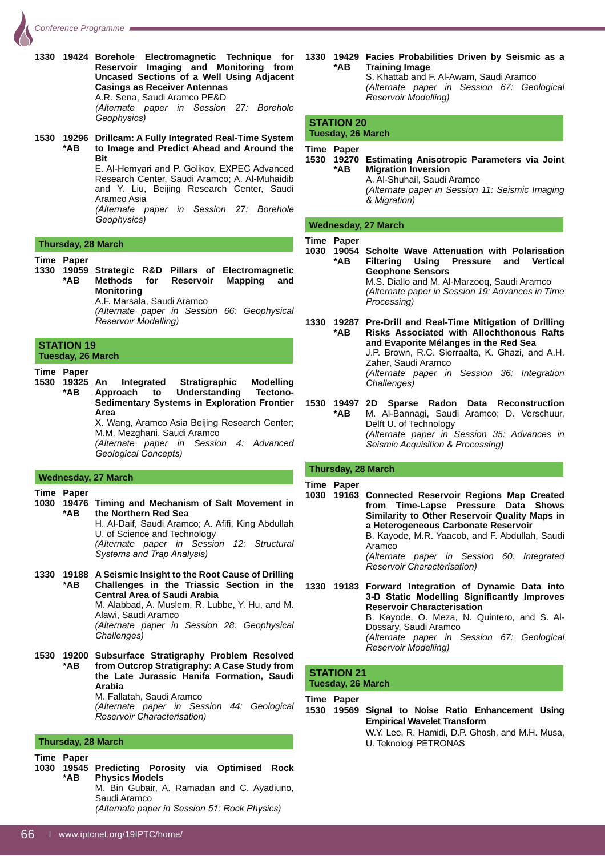

**1330 19424 Borehole Electromagnetic Technique for Reservoir Imaging and Monitoring from Uncased Sections of a Well Using Adjacent Casings as Receiver Antennas** A.R. Sena, Saudi Aramco PE&D *(Alternate paper in Session 27: Borehole*  $Geophysics)$ 

**1530 19296 Drillcam: A Fully Integrated Real-Time System \*AB to Image and Predict Ahead and Around the Bit**

> E. Al-Hemvari and P. Golikov. EXPEC Advanced Research Center, Saudi Aramco; A. Al-Muhaidib and Y. Liu, Beijing Research Center, Saudi Aramco Asia *(Alternate paper in Session 27: Borehole*

 $\overline{Geophysics}$ 

#### **Thursday, 28 March**

#### **Time Paper**

**1330 19059 Strategic R&D Pillars of Electromagnetic \*AB Methods for Reservoir Mapping and Monitoring** A.F. Marsala, Saudi Aramco

 *(Alternate paper in Session 66: Geophysical Reservoir Modelling)* 

#### **STATION 19 Tuesday, 26 March**

**Time Paper**

**1530 19325 An Integrated Stratigraphic Modelling \*AB Approach to Understanding Tectono- Sedimentary Systems in Exploration Frontier Area** X. Wang, Aramco Asia Beijing Research Center;

M.M. Mezghani, Saudi Aramco

 *(Alternate paper in Session 4: Advanced*   $Geological Concepts$ 

#### **Wednesday, 27 March**

#### **Time Paper**

**1030 19476 Timing and Mechanism of Salt Movement in \*AB the Northern Red Sea**

H. Al-Daif, Saudi Aramco; A. Afifi, King Abdullah U. of Science and Technology *(Alternate paper in Session 12: Structural <i>Systems and Trap Analysis*)

- **1330 19188 A Seismic Insight to the Root Cause of Drilling \*AB Challenges in the Triassic Section in the Central Area of Saudi Arabia** M. Alabbad, A. Muslem, R. Lubbe, Y. Hu, and M. Alawi, Saudi Aramco *(Alternate paper in Session 28: Geophysical*   $Challenges)$
- **1530 19200 Subsurface Stratigraphy Problem Resolved \*AB from Outcrop Stratigraphy: A Case Study from the Late Jurassic Hanifa Formation, Saudi Arabia** M. Fallatah, Saudi Aramco *(Alternate paper in Session 44: Geological*   $Reservoir Characterisation)$

#### **Thursday, 28 March**

**Time Paper**

**1030 19545 Predicting Porosity via Optimised Rock \*AB Physics Models** M. Bin Gubair, A. Ramadan and C. Ayadiuno, Saudi Aramco *(Alternate paper in Session 51: Rock Physics)* 

**1330 19429 Facies Probabilities Driven by Seismic as a \*AB Training Image** S. Khattab and F. Al-Awam, Saudi Aramco *(Alternate paper in Session 67: Geological*   $Reservoir Modelling)$ 

#### **STATION 20 Tuesday, 26 March**

#### **Time Paper**

**1530 19270 Estimating Anisotropic Parameters via Joint \*AB Migration Inversion** A. Al-Shuhail, Saudi Aramco *(Alternate paper in Session 11: Seismic Imaging*   $&$ *Migration*)

#### **Wednesday, 27 March**

#### **Time Paper**

**1030 19054 Scholte Wave Attenuation with Polarisation \*AB Filtering Using Pressure and Vertical Geophone Sensors** M.S. Diallo and M. Al-Marzooq, Saudi Aramco

 *(Alternate paper in Session 19: Advances in Time*   $Processina)$ 

**1330 19287 Pre-Drill and Real-Time Mitigation of Drilling \*AB Risks Associated with Allochthonous Rafts and Evaporite Mélanges in the Red Sea** J.P. Brown, R.C. Sierraalta, K. Ghazi, and A.H. Zaher, Saudi Aramco *(Alternate paper in Session 36: Integration*   $\emph{Challenges}$ 

**1530 19497 2D Sparse Radon Data Reconstruction \*AB** M. Al-Bannagi, Saudi Aramco; D. Verschuur, Delft U. of Technology *(Alternate paper in Session 35: Advances in*  **Seismic Acquisition & Processing)** 

#### **Thursday, 28 March**

#### **Time Paper**

**1030 19163 Connected Reservoir Regions Map Created from Time-Lapse Pressure Data Shows Similarity to Other Reservoir Quality Maps in a Heterogeneous Carbonate Reservoir** B. Kayode, M.R. Yaacob, and F. Abdullah, Saudi

Aramco *(Alternate paper in Session 60: Integrated*   $Reservoir Characterisation)$ 

**1330 19183 Forward Integration of Dynamic Data into**  3-D Static Modelling Significantly Improves **Reservoir Characterisation** B. Kayode, O. Meza, N. Quintero, and S. Al-Dossary, Saudi Aramco *(Alternate paper in Session 67: Geological*  **Reservoir Modelling)** 

#### **STATION 21 Tuesday, 26 March**

**Time Paper**

**1530 19569 Signal to Noise Ratio Enhancement Using Empirical Wavelet Transform** W.Y. Lee, R. Hamidi, D.P. Ghosh, and M.H. Musa, U. Teknologi PETRONAS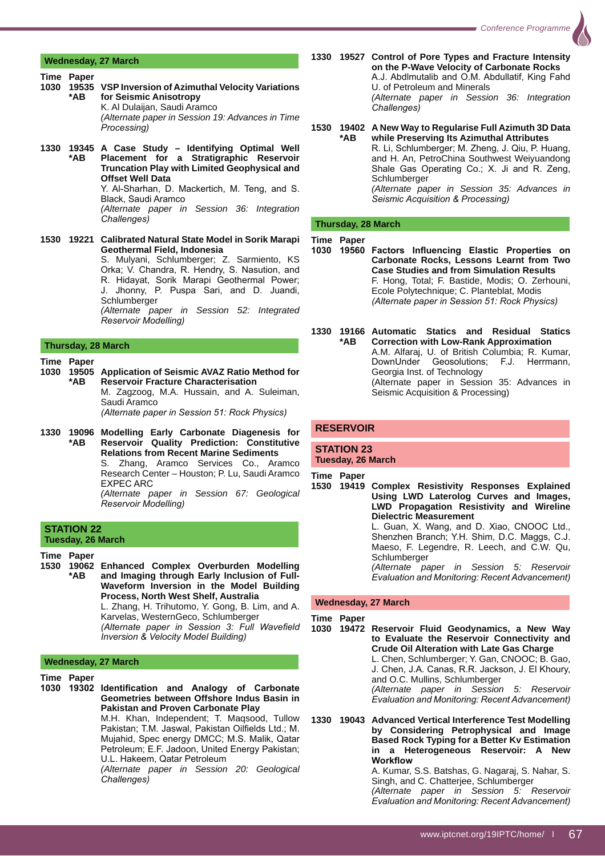

#### **Wednesday, 27 March**

- **Time Paper 1030 19535 VSP Inversion of Azimuthal Velocity Variations \*AB for Seismic Anisotropy** K. Al Dulaijan, Saudi Aramco *(Alternate paper in Session 19: Advances in Time*   $Processing)$
- **1330 19345 A Case Study Identifying Optimal Well \*AB Placement for a Stratigraphic Reservoir Truncation Play with Limited Geophysical and Offset Well Data** Y. Al-Sharhan, D. Mackertich, M. Teng, and S. Black, Saudi Aramco *(Alternate paper in Session 36: Integration*   $\hat{C}$ *hallenges*)
- **1530 19221 Calibrated Natural State Model in Sorik Marapi Geothermal Field, Indonesia** S. Mulyani, Schlumberger; Z. Sarmiento, KS Orka; V. Chandra, R. Hendry, S. Nasution, and R. Hidayat, Sorik Marapi Geothermal Power; Jhonny, P. Puspa Sari, and D. Juandi, **Schlumberger**  *(Alternate paper in Session 52: Integrated*   $Reservoir Modelling)$

#### **Thursday, 28 March**

#### **Time Paper**

- **1030 19505 Application of Seismic AVAZ Ratio Method for Reservoir Fracture Characterisation**  M. Zagzoog, M.A. Hussain, and A. Suleiman, Saudi Aramco *(Alternate paper in Session 51: Rock Physics)*
- **1330 19096 Modelling Early Carbonate Diagenesis for \*AB Reservoir Quality Prediction: Constitutive Relations from Recent Marine Sediments** S. Zhang, Aramco Services Co., Aramco Research Center – Houston; P. Lu, Saudi Aramco EXPEC ARC

 *(Alternate paper in Session 67: Geological Reservoir Modelling)* 

#### **STATION 22 Tuesday, 26 March**

**Time Paper**

**1530 19062 Enhanced Complex Overburden Modelling \*AB and Imaging through Early Inclusion of Full- Waveform Inversion in the Model Building Process, North West Shelf, Australia**

 L. Zhang, H. Trihutomo, Y. Gong, B. Lim, and A. Karvelas, WesternGeco, Schlumberger

*(Alternate paper in Session 3: Full Wavefield Inversion & Velocity Model Building)* 

#### **Wednesday, 27 March**

**Time Paper** 1030 19302 Identification and Analogy of Carbonate

**Geometries between Offshore Indus Basin in Pakistan and Proven Carbonate Play**  M.H. Khan, Independent; T. Maqsood, Tullow Pakistan; T.M. Jaswal, Pakistan Oilfields Ltd.; M. Mujahid, Spec energy DMCC; M.S. Malik, Qatar Petroleum; E.F. Jadoon, United Energy Pakistan; U.L. Hakeem, Qatar Petroleum

 *(Alternate paper in Session 20: Geological*   $Challenges)$ 

- **1330 19527 Control of Pore Types and Fracture Intensity on the P-Wave Velocity of Carbonate Rocks** A.J. Abdimutalib and O.M. Abdullatif, King Fahd U. of Petroleum and Minerals *(Alternate paper in Session 36: Integration*   $Challen$ *as*)
- **1530 19402 A New Way to Regularise Full Azimuth 3D Data**  while Preserving Its Azimuthal Attributes R. Li, Schlumberger; M. Zheng, J. Qiu, P. Huang, and H. An, PetroChina Southwest Weiyuandong Shale Gas Operating Co.; X. Ji and R. Zeng, Schlumberger *(Alternate paper in Session 35: Advances in*  **Seismic Acquisition & Processing)**

#### **Thursday, 28 March**

#### **Time Paper**

- 1030 19560 Factors Influencing Elastic Properties on **Carbonate Rocks, Lessons Learnt from Two Case Studies and from Simulation Results** F. Hong, Total; F. Bastide, Modis; O. Zerhouni, Ecole Polytechnique; C. Planteblat, Modis *(Alternate paper in Session 51: Rock Physics)*
- **1330 19166 Automatic Statics and Residual Statics \*AB Correction with Low-Rank Approximation** A.M. Alfaraj, U. of British Columbia; R. Kumar, DownUnder Geosolutions; F.J. Herrmann, Georgia Inst. of Technology (Alternate paper in Session 35: Advances in Seismic Acquisition & Processing)

# **RESERVOIR**

**STATION 23 Tuesday, 26 March**

**Time Paper**

**1530 19419 Complex Resistivity Responses Explained Using LWD Laterolog Curves and Images, LWD Propagation Resistivity and Wireline Dielectric Measurement** L. Guan, X. Wang, and D. Xiao, CNOOC Ltd., Shenzhen Branch; Y.H. Shim, D.C. Maggs, C.J. Maeso, F. Legendre, R. Leech, and C.W. Qu,

Schlumberger *(Alternate paper in Session 5: Reservoir Evaluation and Monitoring: Recent Advancement)* 

#### **Wednesday, 27 March**

**Time Paper**

**1030 19472 Reservoir Fluid Geodynamics, a New Way to Evaluate the Reservoir Connectivity and Crude Oil Alteration with Late Gas Charge** L. Chen, Schlumberger; Y. Gan, CNOOC; B. Gao, J. Chen, J.A. Canas, R.R. Jackson, J. El Khoury, and O.C. Mullins, Schlumberger *(Alternate paper in Session 5: Reservoir*   $E$ Valuation and Monitoring: Recent Advancement)

**1330 19043 Advanced Vertical Interference Test Modelling by Considering Petrophysical and Image Based Rock Typing for a Better Kv Estimation in a Heterogeneous Reservoir: A New Workflow** 

 A. Kumar, S.S. Batshas, G. Nagaraj, S. Nahar, S. Singh, and C. Chatterjee, Schlumberger *(Alternate paper in Session 5: Reservoir Evaluation and Monitoring: Recent Advancement)*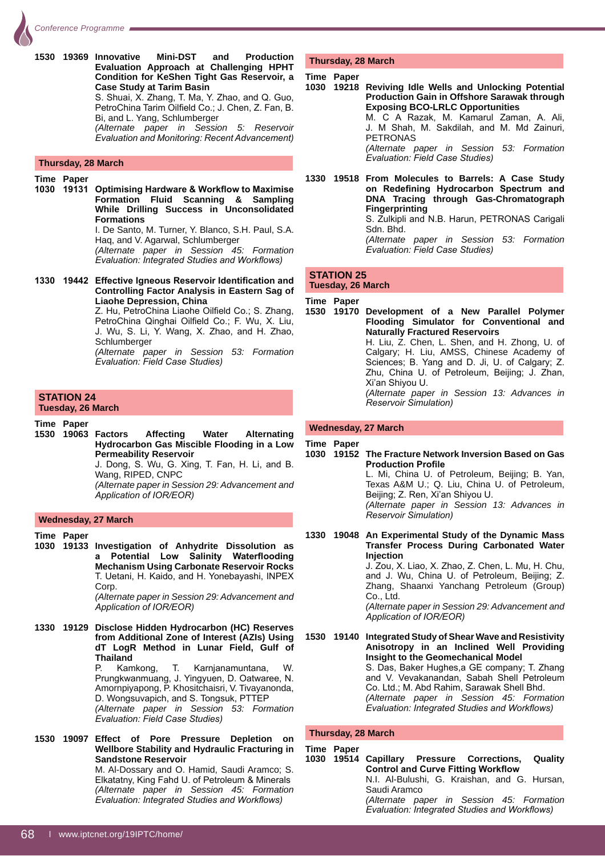**1530 19369 Innovative Mini-DST and Production Evaluation Approach at Challenging HPHT Condition for KeShen Tight Gas Reservoir, a Case Study at Tarim Basin** S. Shuai, X. Zhang, T. Ma, Y. Zhao, and Q. Guo,

PetroChina Tarim Oilfield Co.; J. Chen, Z. Fan, B. Bi, and L. Yang, Schlumberger

 *(Alternate paper in Session 5: Reservoir Evaluation and Monitoring: Recent Advancement)* 

#### **Thursday, 28 March**

#### **Time Paper**

1030 19131 Optimising Hardware & Workflow to Maximise **Formation Fluid Scanning & Sampling While Drilling Success in Unconsolidated Formations**

 I. De Santo, M. Turner, Y. Blanco, S.H. Paul, S.A. Haq, and V. Agarwal, Schlumberger

 *(Alternate paper in Session 45: Formation Evaluation: Integrated Studies and Workflows)* 

1330 19442 Effective Igneous Reservoir Identification and **Controlling Factor Analysis in Eastern Sag of Liaohe Depression, China**

Z. Hu, PetroChina Liaohe Oilfield Co.; S. Zhang, PetroChina Qinghai Oilfield Co.; F. Wu, X. Liu, J. Wu, S. Li, Y. Wang, X. Zhao, and H. Zhao, **Schlumberger** 

 *(Alternate paper in Session 53: Formation Evaluation: Field Case Studies)* 

#### **STATION 24 Tuesday, 26 March**

#### **Time Paper**

**1530 19063 Factors Affecting Water Alternating Hydrocarbon Gas Miscible Flooding in a Low Permeability Reservoir**

J. Dong, S. Wu, G. Xing, T. Fan, H. Li, and B. Wang, RIPED, CNPC

 *(Alternate paper in Session 29: Advancement and*  Application of IOR/EOR)

#### **Wednesday, 27 March**

#### **Time Paper**

**1030 19133 Investigation of Anhydrite Dissolution as**  a Potential Low Salinity Waterflooding **Mechanism Using Carbonate Reservoir Rocks** T. Uetani, H. Kaido, and H. Yonebayashi, INPEX **Corp.** 

 *(Alternate paper in Session 29: Advancement and*  Application of IOR/EOR)

- **1330 19129 Disclose Hidden Hydrocarbon (HC) Reserves from Additional Zone of Interest (AZIs) Using dT LogR Method in Lunar Field, Gulf of Thailand**<br>P. Kamkong, P. Kamkong, T. Karnjanamuntana, W. Prungkwanmuang, J. Yingyuen, D. Oatwaree, N. Amornpiyapong, P. Khositchaisri, V. Tivayanonda, D. Wongsuvapich, and S. Tongsuk, PTTEP  *(Alternate paper in Session 53: Formation Evaluation: Field Case Studies)*
- **1530 19097 Effect of Pore Pressure Depletion on Wellbore Stability and Hydraulic Fracturing in Sandstone Reservoir** M. Al-Dossary and O. Hamid, Saudi Aramco; S. Elkatatny, King Fahd U. of Petroleum & Minerals *(Alternate paper in Session 45: Formation Evaluation: Integrated Studies and Workflows)*

#### **Thursday, 28 March**

#### **Time Paper**

**1030 19218 Reviving Idle Wells and Unlocking Potential Production Gain in Offshore Sarawak through Exposing BCO-LRLC Opportunities** M. C A Razak, M. Kamarul Zaman, A. Ali, J. M Shah, M. Sakdilah, and M. Md Zainuri, PETRONAS *(Alternate paper in Session 53: Formation Evaluation: Field Case Studies)* 

**1330 19518 From Molecules to Barrels: A Case Study**  on Redefining Hydrocarbon Spectrum and **DNA Tracing through Gas-Chromatograph Fingerprinting** S. Zulkipli and N.B. Harun, PETRONAS Carigali Sdn. Bhd. *(Alternate paper in Session 53: Formation Evaluation: Field Case Studies)* 

# **STATION 25**

#### **Tuesday, 26 March**

**Time Paper**

**1530 19170 Development of a New Parallel Polymer Flooding Simulator for Conventional and Naturally Fractured Reservoirs** H. Liu, Z. Chen, L. Shen, and H. Zhong, U. of Calgary; H. Liu, AMSS, Chinese Academy of Sciences; B. Yang and D. Ji, U. of Calgary; Z. Zhu, China U. of Petroleum, Beijing; J. Zhan, Xi'an Shiyou U. *(Alternate paper in Session 13: Advances in*   $R$ eservoir Simulation)

#### **Wednesday, 27 March**

#### **Time Paper**

**1030 19152 The Fracture Network Inversion Based on Gas Production Profile** 

> L. Mi, China U. of Petroleum, Beijing; B. Yan, Texas A&M U.; Q. Liu, China U. of Petroleum, Beijing; Z. Ren, Xi'an Shiyou U. *(Alternate paper in Session 13: Advances in Reservoir Simulation)*

**1330 19048 An Experimental Study of the Dynamic Mass Transfer Process During Carbonated Water Injection**

> J. Zou, X. Liao, X. Zhao, Z. Chen, L. Mu, H. Chu, and J. Wu, China U. of Petroleum, Beijing; Z. Zhang, Shaanxi Yanchang Petroleum (Group) Co., Ltd.

> *(Alternate paper in Session 29: Advancement and*  Application of IOR/EOR)

**1530 19140 Integrated Study of Shear Wave and Resistivity Anisotropy in an Inclined Well Providing Insight to the Geomechanical Model** S. Das, Baker Hughes,a GE company; T. Zhang and V. Vevakanandan, Sabah Shell Petroleum Co. Ltd.; M. Abd Rahim, Sarawak Shell Bhd. *(Alternate paper in Session 45: Formation Evaluation: Integrated Studies and Workflows)* 

#### **Thursday, 28 March**

**Time Paper**

**1030 19514 Capillary Pressure Corrections, Quality Control and Curve Fitting Workflow**  N.I. Al-Bulushi, G. Kraishan, and G. Hursan, Saudi Aramco *(Alternate paper in Session 45: Formation Evaluation: Integrated Studies and Workflows)*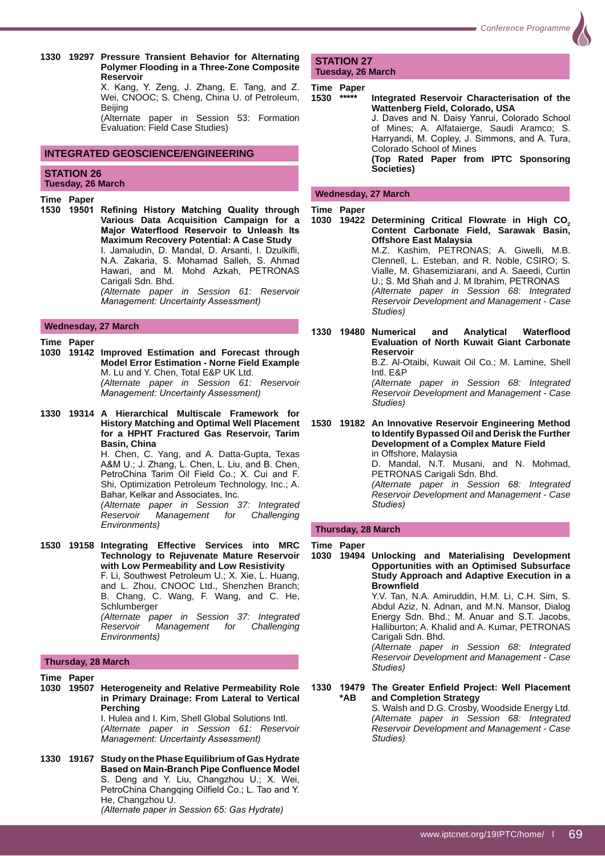**1330 19297 Pressure Transient Behavior for Alternating Polymer Flooding in a Three-Zone Composite Reservoir**

X. Kang, Y. Zeng, J. Zhang, E. Tang, and Z. Wei, CNOOC; S. Cheng, China U. of Petroleum, **Beijing** 

 (Alternate paper in Session 53: Formation Evaluation: Field Case Studies)

#### **INTEGRATED GEOSCIENCE/ENGINEERING**

#### **STATION 26 Tuesday, 26 March**

#### **Time Paper**

1530 19501 Refining History Matching Quality through **Various Data Acquisition Campaign for a Major Waterflood Reservoir to Unleash Its Maximum Recovery Potential: A Case Study** I. Jamaludin, D. Mandal, D. Arsanti, I. Dzulkifli, N.A. Zakaria, S. Mohamad Salleh, S. Ahmad Hawari, and M. Mohd Azkah, PETRONAS Carigali Sdn. Bhd. *(Alternate paper in Session 61: Reservoir Management: Uncertainty Assessment)* 

#### **Wednesday, 27 March**

- **Time Paper 1030 19142 Improved Estimation and Forecast through Model Error Estimation - Norne Field Example** M. Lu and Y. Chen, Total E&P UK Ltd. *(Alternate paper in Session 61: Reservoir Management: Uncertainty Assessment)*
- **1330 19314 A Hierarchical Multiscale Framework for History Matching and Optimal Well Placement for a HPHT Fractured Gas Reservoir, Tarim Basin, China**

 H. Chen, C. Yang, and A. Datta-Gupta, Texas A&M U.; J. Zhang, L. Chen, L. Liu, and B. Chen, PetroChina Tarim Oil Field Co.; X. Cui and F. Shi, Optimization Petroleum Technology, Inc.; A. Bahar, Kelkar and Associates, Inc.

 *(Alternate paper in Session 37: Integrated Reservoir Management for Challenging*   $Environments)$ 

**1530 19158 Integrating Effective Services into MRC Technology to Rejuvenate Mature Reservoir with Low Permeability and Low Resistivity** F. Li, Southwest Petroleum U.; X. Xie, L. Huang, and L. Zhou, CNOOC Ltd., Shenzhen Branch; B. Chang, C. Wang, F. Wang, and C. He, Schlumberger *(Alternate paper in Session 37: Integrated Reservoir Management for Challenging*   $E$ *nvironments*)

#### **Thursday, 28 March**

**Time Paper 1030 19507 Heterogeneity and Relative Permeability Role in Primary Drainage: From Lateral to Vertical Perching** I. Hulea and I. Kim, Shell Global Solutions Intl.

 *(Alternate paper in Session 61: Reservoir Management: Uncertainty Assessment)* 

**1330 19167 Study on the Phase Equilibrium of Gas Hydrate Based on Main-Branch Pipe Confluence Model** S. Deng and Y. Liu, Changzhou U.; X. Wei, PetroChina Changqing Oilfield Co.; L. Tao and Y. He, Changzhou U.

*(Alternate paper in Session 65: Gas Hydrate)* 

**STATION 27 Tuesday, 26 March**

# **Time Paper**

**1530 \*\*\*\*\* Integrated Reservoir Characterisation of the Wattenberg Field, Colorado, USA** J. Daves and N. Daisy Yanrui, Colorado School of Mines; A. Alfataierge, Saudi Aramco; S.

Harryandi, M. Copley, J. Simmons, and A. Tura, Colorado School of Mines **(Top Rated Paper from IPTC Sponsoring Societies)**

#### **Wednesday, 27 March**

**Time Paper** 

1030 19422 Determining Critical Flowrate in High CO<sub>2</sub> **Content Carbonate Field, Sarawak Basin, Offshore East Malaysia** M.Z. Kashim, PETRONAS; A. Giwelli, M.B. Clennell, L. Esteban, and R. Noble, CSIRO; S. Vialle, M. Ghasemiziarani, and A. Saeedi, Curtin U.; S. Md Shah and J. M Ibrahim, PETRONAS *(Alternate paper in Session 68: Integrated Reservoir Development and Management - Case Studies*)

1330 19480 Numerical and Analytical Waterflood **Evaluation of North Kuwait Giant Carbonate Reservoir**

 B.Z. Al-Otaibi, Kuwait Oil Co.; M. Lamine, Shell Intl. E&P

 *(Alternate paper in Session 68: Integrated Reservoir Development and Management - Case Studies*)

#### **1530 19182 An Innovative Reservoir Engineering Method to Identify Bypassed Oil and Derisk the Further Development of a Complex Mature Field**  in Offshore, Malaysia

 D. Mandal, N.T. Musani, and N. Mohmad, PETRONAS Carigali Sdn. Bhd.

 *(Alternate paper in Session 68: Integrated Reservoir Development and Management - Case*  Studies)

#### **Thursday, 28 March**

#### **Time Paper**

**1030 19494 Unlocking and Materialising Development Opportunities with an Optimised Subsurface Study Approach and Adaptive Execution in a Brownfield** 

 Y.V. Tan, N.A. Amiruddin, H.M. Li, C.H. Sim, S. Abdul Aziz, N. Adnan, and M.N. Mansor, Dialog Energy Sdn. Bhd.; M. Anuar and S.T. Jacobs, Halliburton; A. Khalid and A. Kumar, PETRONAS Carigali Sdn. Bhd.

 *(Alternate paper in Session 68: Integrated Reservoir Development and Management - Case*  Studies)

#### 1330 19479 The Greater Enfield Project: Well Placement  **\*AB and Completion Strategy**

 S. Walsh and D.G. Crosby, Woodside Energy Ltd. *(Alternate paper in Session 68: Integrated Reservoir Development and Management - Case*  Studies)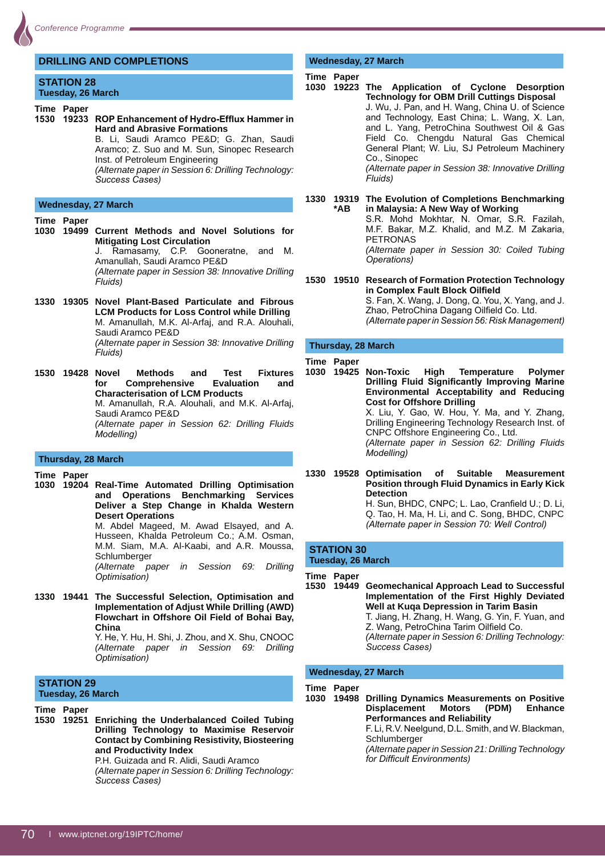## **DRILLING AND COMPLETIONS**

**STATION 28 Tuesday, 26 March**

**Time Paper** 

1530 **19233** ROP Enhancement of Hydro-Efflux Hammer in **Hard and Abrasive Formations**

 B. Li, Saudi Aramco PE&D; G. Zhan, Saudi Aramco; Z. Suo and M. Sun, Sinopec Research Inst. of Petroleum Engineering

 *(Alternate paper in Session 6: Drilling Technology: Success Cases*)

#### **Wednesday, 27 March**

**Time Paper** 

- **1030 19499 Current Methods and Novel Solutions for Mitigating Lost Circulation** J. Ramasamy, C.P. Gooneratne, and M. Amanullah, Saudi Aramco PE&D *(Alternate paper in Session 38: Innovative Drilling*   $Fluids)$
- **1330 19305 Novel Plant-Based Particulate and Fibrous LCM Products for Loss Control while Drilling** M. Amanullah, M.K. Al-Arfaj, and R.A. Alouhali, Saudi Aramco PE&D *(Alternate paper in Session 38: Innovative Drilling*   $Fluids)$
- **1530 19428 Novel Methods and Test Fixtures for Comprehensive Evaluation and Characterisation of LCM Products** M. Amanullah, R.A. Alouhali, and M.K. Al-Arfaj, Saudi Aramco PE&D *(Alternate paper in Session 62: Drilling Fluids Modelling*)

#### **Thursday, 28 March**

**Time Paper** 

**1030 19204 Real-Time Automated Drilling Optimisation and Operations Benchmarking Services Deliver a Step Change in Khalda Western Desert Operations**

 M. Abdel Mageed, M. Awad Elsayed, and A. Husseen, Khalda Petroleum Co.; A.M. Osman, M.M. Siam, M.A. Al-Kaabi, and A.R. Moussa, Schlumberger

 *(Alternate paper in Session 69: Drilling*   $Optimisation)$ 

**1330 19441 The Successful Selection, Optimisation and Implementation of Adjust While Drilling (AWD) Flowchart in Offshore Oil Field of Bohai Bay, China** Y. He, Y. Hu, H. Shi, J. Zhou, and X. Shu, CNOOC

 *(Alternate paper in Session 69: Drilling <i><u>Dptimisation</u>* 

#### **STATION 29 Tuesday, 26 March**

**Time Paper** 

**1530 19251 Enriching the Underbalanced Coiled Tubing Drilling Technology to Maximise Reservoir Contact by Combining Resistivity, Biosteering and Productivity Index**

 P.H. Guizada and R. Alidi, Saudi Aramco *(Alternate paper in Session 6: Drilling Technology: Success Cases*)

# **Wednesday, 27 March**

#### **Time Paper**

- **1030 19223 The Application of Cyclone Desorption Technology for OBM Drill Cuttings Disposal** J. Wu, J. Pan, and H. Wang, China U. of Science and Technology, East China; L. Wang, X. Lan, and L. Yang, PetroChina Southwest Oil & Gas Field Co. Chengdu Natural Gas Chemical General Plant; W. Liu, SJ Petroleum Machinery Co., Sinopec *(Alternate paper in Session 38: Innovative Drilling*   $Fluids)$
- **1330 19319 The Evolution of Completions Benchmarking \*AB in Malaysia: A New Way of Working** S.R. Mohd Mokhtar, N. Omar, S.R. Fazilah,

M.F. Bakar, M.Z. Khalid, and M.Z. M Zakaria, PETRONAS

 *(Alternate paper in Session 30: Coiled Tubing Operations*)

**1530 19510 Research of Formation Protection Technology In Complex Fault Block Oilfield** S. Fan, X. Wang, J. Dong, Q. You, X. Yang, and J. Zhao, PetroChina Dagang Oilfield Co. Ltd. *(Alternate paper in Session 56: Risk Management)* 

#### **Thursday, 28 March**

**Time Paper** 

- **1030 19425 Non-Toxic High Temperature Polymer Drilling Fluid Significantly Improving Marine Environmental AcceptabiIity and Reducing Cost for Offshore Drilling** X. Liu, Y. Gao, W. Hou, Y. Ma, and Y. Zhang, Drilling Engineering Technology Research Inst. of CNPC Offshore Engineering Co., Ltd. *(Alternate paper in Session 62: Drilling Fluids Modelling*)
- **1330 19528 Optimisation of Suitable Measurement Position through Fluid Dynamics in Early Kick Detection** H. Sun, BHDC, CNPC; L. Lao, Cranfield U.; D. Li, Q. Tao, H. Ma, H. Li, and C. Song, BHDC, CNPC *(Alternate paper in Session 70: Well Control)*

#### **STATION 30 Tuesday, 26 March**

**Time Paper** 

**1530 19449 Geomechanical Approach Lead to Successful Implementation of the First Highly Deviated Well at Kuqa Depression in Tarim Basin** T. Jiang, H. Zhang, H. Wang, G. Yin, F. Yuan, and Z. Wang, PetroChina Tarim Oilfield Co. *(Alternate paper in Session 6: Drilling Technology:*  **Success Cases)** 

#### **Wednesday, 27 March**

#### **Time Paper**

**1030 19498 Drilling Dynamics Measurements on Positive Displacement Motors (PDM) Enhance Performances and Reliability**

F. Li, R.V. Neelgund, D.L. Smith, and W. Blackman, Schlumberger

 *(Alternate paper in Session 21: Drilling Technology for Difficult Environments)*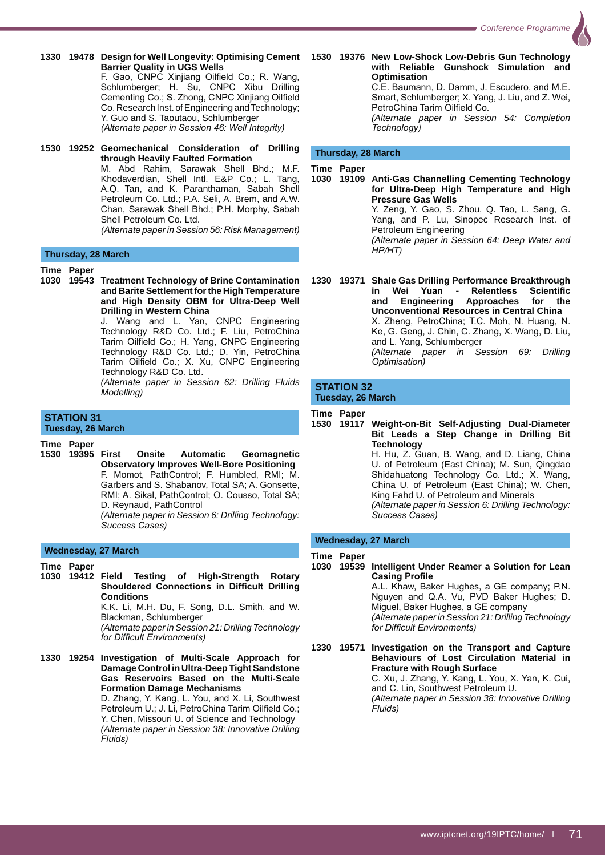- **1330 19478 Design for Well Longevity: Optimising Cement 1530 19376 New Low-Shock Low-Debris Gun Technology Barrier Quality in UGS Wells** F. Gao, CNPC Xinjiang Oilfield Co.; R. Wang, Schlumberger; H. Su, CNPC Xibu Drilling Cementing Co.; S. Zhong, CNPC Xinjiang Oilfield Co. Research Inst. of Engineering and Technology; Y. Guo and S. Taoutaou, Schlumberger *(Alternate paper in Session 46: Well Integrity)*
- **1530 19252 Geomechanical Consideration of Drilling through Heavily Faulted Formation** M. Abd Rahim, Sarawak Shell Bhd.; M.F. Khodaverdian, Shell Intl. E&P Co.; L. Tang, A.Q. Tan, and K. Paranthaman, Sabah Shell Petroleum Co. Ltd.; P.A. Seli, A. Brem, and A.W. Chan, Sarawak Shell Bhd.; P.H. Morphy, Sabah Shell Petroleum Co. Ltd.

*(Alternate paper in Session 56: Risk Management)* 

#### **Thursday, 28 March**

**Time Paper**

**1030 19543 Treatment Technology of Brine Contamination and Barite Settlement for the High Temperature and High Density OBM for Ultra-Deep Well Drilling in Western China** J. Wang and L. Yan, CNPC Engineering

Technology R&D Co. Ltd.; F. Liu, PetroChina Tarim Oilfield Co.; H. Yang, CNPC Engineering Technology R&D Co. Ltd.; D. Yin, PetroChina Tarim Oilfield Co.; X. Xu, CNPC Engineering Technology R&D Co. Ltd.

 *(Alternate paper in Session 62: Drilling Fluids Modellina)* 

# **STATION 31**

**Tuesday, 26 March**

**Time Paper**

**1530 19395 First Onsite Automatic Geomagnetic Observatory Improves Well-Bore Positioning** F. Momot, PathControl; F. Humbled, RMI; M. Garbers and S. Shabanov, Total SA; A. Gonsette, RMI; A. Sikal, PathControl; O. Cousso, Total SA; D. Reynaud, PathControl *(Alternate paper in Session 6: Drilling Technology:* 

*Success Cases*)

#### **Wednesday, 27 March**

- **Time Paper**
- **1030 19412 Field Testing of High-Strength Rotary Shouldered Connections in Difficult Drilling Conditions** K.K. Li, M.H. Du, F. Song, D.L. Smith, and W.

Blackman, Schlumberger *(Alternate paper in Session 21: Drilling Technology* 

for Difficult Environments)

**1330 19254 Investigation of Multi-Scale Approach for Damage Control in Ultra-Deep Tight Sandstone Gas Reservoirs Based on the Multi-Scale Formation Damage Mechanisms** D. Zhang, Y. Kang, L. You, and X. Li, Southwest Petroleum U.; J. Li, PetroChina Tarim Oilfield Co.; Y. Chen, Missouri U. of Science and Technology *(Alternate paper in Session 38: Innovative Drilling Fluids*)

**with Reliable Gunshock Simulation and Optimisation** C.E. Baumann, D. Damm, J. Escudero, and M.E. Smart, Schlumberger; X. Yang, J. Liu, and Z. Wei, PetroChina Tarim Oilfield Co. *(Alternate paper in Session 54: Completion*   $Technology)$ 

#### **Thursday, 28 March**

**Time Paper**

**1030 19109 Anti-Gas Channelling Cementing Technology for Ultra-Deep High Temperature and High Pressure Gas Wells** Y. Zeng, Y. Gao, S. Zhou, Q. Tao, L. Sang, G. Yang, and P. Lu, Sinopec Research Inst. of Petroleum Engineering *(Alternate paper in Session 64: Deep Water and*   $HP/HT$ )

**1330 19371 Shale Gas Drilling Performance Breakthrough**  in Wei Yuan - Relentless Scientific<br>and Engineering Approaches for the **and Engineering Approaches for the Unconventional Resources in Central China** X. Zheng, PetroChina; T.C. Moh, N. Huang, N. Ke, G. Geng, J. Chin, C. Zhang, X. Wang, D. Liu, and L. Yang, Schlumberger *(Alternate paper in Session 69: Drilling*   $Optimisation)$ 

#### **STATION 32 Tuesday, 26 March**

**Time Paper**

**1530 19117 Weight-on-Bit Self-Adjusting Dual-Diameter Bit Leads a Step Change in Drilling Bit Technology** H. Hu, Z. Guan, B. Wang, and D. Liang, China U. of Petroleum (East China); M. Sun, Qingdao Shidahuatong Technology Co. Ltd.; X. Wang, China U. of Petroleum (East China); W. Chen, King Fahd U. of Petroleum and Minerals *(Alternate paper in Session 6: Drilling Technology: Success Cases*)

#### **Wednesday, 27 March**

#### **Time Paper**

**1030 19539 Intelligent Under Reamer a Solution for Lean Casing Profile** 

> A.L. Khaw, Baker Hughes, a GE company; P.N. Nguyen and Q.A. Vu, PVD Baker Hughes; D. Miguel, Baker Hughes, a GE company *(Alternate paper in Session 21: Drilling Technology <i><u>Inficult</u>* Environments)

**1330 19571 Investigation on the Transport and Capture Behaviours of Lost Circulation Material in Fracture with Rough Surface** C. Xu, J. Zhang, Y. Kang, L. You, X. Yan, K. Cui, and C. Lin, Southwest Petroleum U. *(Alternate paper in Session 38: Innovative Drilling*   $Fluids)$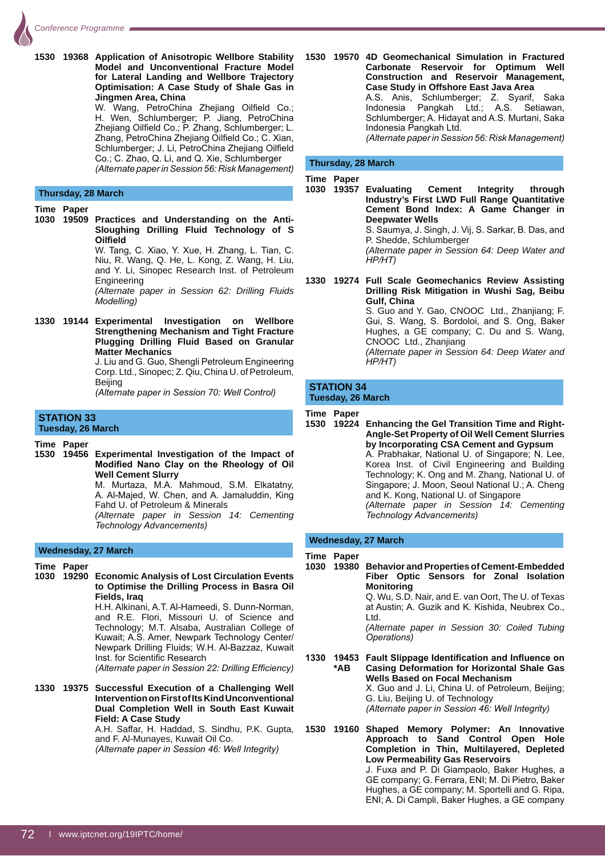**1530 19368 Application of Anisotropic Wellbore Stability Model and Unconventional Fracture Model for Lateral Landing and Wellbore Trajectory Optimisation: A Case Study of Shale Gas in Jingmen Area, China** W. Wang, PetroChina Zhejiang Oilfield Co.; H. Wen, Schlumberger; P. Jiang, PetroChina Zhejiang Oilfield Co.; P. Zhang, Schlumberger; L. Zhang, PetroChina Zhejiang Oilfield Co.; C. Xian, Schlumberger; J. Li, PetroChina Zhejiang Oilfield Co.; C. Zhao, Q. Li, and Q. Xie, Schlumberger *(Alternate paper in Session 56: Risk Management)* **Thursday, 28 March Time Paper 1030 19509 Practices and Understanding on the Anti-Sloughing Drilling Fluid Technology of S 2**Oilfield W. Tang, C. Xiao, Y. Xue, H. Zhang, L. Tian, C. Niu, R. Wang, Q. He, L. Kong, Z. Wang, H. Liu, and Y. Li, Sinopec Research Inst. of Petroleum **Engineering**  *(Alternate paper in Session 62: Drilling Fluids Modelling*) **1330 19144 Experimental Investigation on Wellbore Strengthening Mechanism and Tight Fracture Plugging Drilling Fluid Based on Granular Matter Mechanics** J. Liu and G. Guo, Shengli Petroleum Engineering Corp. Ltd., Sinopec; Z. Qiu, China U. of Petroleum, **Beijing** *(Alternate paper in Session 70: Well Control)* **STATION 33 Tuesday, 26 March Time Paper 1530 19456 Experimental Investigation of the Impact of Modified Nano Clay on the Rheology of Oil Well Cement Slurry** M. Murtaza. M.A. Mahmoud. S.M. Elkatatny. A. Al-Majed, W. Chen, and A. Jamaluddin, King

# **Wednesday, 27 March**

**Time Paper**

**1030 19290 Economic Analysis of Lost Circulation Events to Optimise the Drilling Process in Basra Oil Fields, Iraq** H.H. Alkinani, A.T. Al-Hameedi, S. Dunn-Norman,

Fahd U. of Petroleum & Minerals

 $Technology$  Advancements)

and R.E. Flori, Missouri U. of Science and Technology; M.T. Alsaba, Australian College of Kuwait; A.S. Amer, Newpark Technology Center/ Newpark Drilling Fluids; W.H. Al-Bazzaz, Kuwait Inst. for Scientific Research *(Alternate paper in Session 22: Drilling Efficiency)* 

*(Alternate paper in Session 14: Cementing* 

**1330 19375 Successful Execution of a Challenging Well Intervention on First of Its Kind Unconventional Dual Completion Well in South East Kuwait Field: A Case Study**

 A.H. Saffar, H. Haddad, S. Sindhu, P.K. Gupta, and F. Al-Munayes, Kuwait Oil Co. *(Alternate paper in Session 46: Well Integrity)* 

**1530 19570 4D Geomechanical Simulation in Fractured Carbonate Reservoir for Optimum Well Construction and Reservoir Management, Case Study in Offshore East Java Area** A.S. Anis, Schlumberger; Z. Syarif, Saka Indonesia Pangkah Ltd.; A.S. Setiawan, Schlumberger; A. Hidayat and A.S. Murtani, Saka Indonesia Pangkah Ltd. *(Alternate paper in Session 56: Risk Management)* 

#### **Thursday, 28 March**

**Time Paper**

**1030 19357 Evaluating Cement Integrity through Industry's First LWD Full Range Quantitative Cement Bond Index: A Game Changer in Deepwater Wells**

S. Saumya, J. Singh, J. Vij, S. Sarkar, B. Das, and P. Shedde, Schlumberger

 *(Alternate paper in Session 64: Deep Water and HP/HT*)

**1330 19274 Full Scale Geomechanics Review Assisting Drilling Risk Mitigation in Wushi Sag, Beibu Gulf, China**

 S. Guo and Y. Gao, CNOOC Ltd., Zhanjiang; F. Gui, S. Wang, S. Bordoloi, and S. Ong, Baker Hughes, a GE company; C. Du and S. Wang, CNOOC Ltd., Zhanjiang

 *(Alternate paper in Session 64: Deep Water and*   $HP/HT)$ 

#### **STATION 34 Tuesday, 26 March**

**Time Paper**

**1530 19224 Enhancing the Gel Transition Time and Right-Angle-Set Property of Oil Well Cement Slurries by Incorporating CSA Cement and Gypsum** A. Prabhakar, National U. of Singapore; N. Lee, Korea Inst. of Civil Engineering and Building Technology; K. Ong and M. Zhang, National U. of Singapore: J. Moon. Seoul National U.: A. Cheng and K. Kong, National U. of Singapore *(Alternate paper in Session 14: Cementing Technology Advancements)* 

#### **Wednesday, 27 March**

#### **Time Paper**

**1030 19380 Behavior and Properties of Cement-Embedded Fiber Optic Sensors for Zonal Isolation Monitoring** Q. Wu, S.D. Nair, and E. van Oort, The U. of Texas

at Austin; A. Guzik and K. Kishida, Neubrex Co., Ltd.

 *(Alternate paper in Session 30: Coiled Tubing <i><u>Dperations</u>* 

1330 19453 Fault Slippage Identification and Influence on  **\*AB Casing Deformation for Horizontal Shale Gas Wells Based on Focal Mechanism** X. Guo and J. Li, China U. of Petroleum, Beijing; G. Liu, Beijing U. of Technology *(Alternate paper in Session 46: Well Integrity)* 

**1530 19160 Shaped Memory Polymer: An Innovative Approach to Sand Control Open Hole Completion in Thin, Multilayered, Depleted Low Permeability Gas Reservoirs** J. Fuxa and P. Di Giampaolo, Baker Hughes, a GE company; G. Ferrara, ENI; M. Di Pietro, Baker Hughes, a GE company; M. Sportelli and G. Ripa, ENI; A. Di Campli, Baker Hughes, a GE company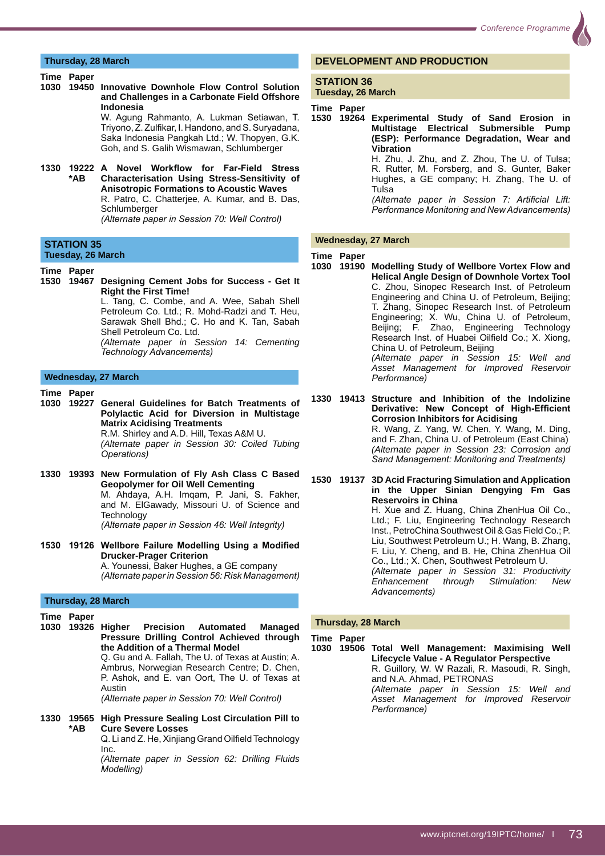## **Thursday, 28 March**

#### **Time Paper**

**1030 19450 Innovative Downhole Flow Control Solution and Challenges in a Carbonate Field Offshore Indonesia**

W. Agung Rahmanto, A. Lukman Setiawan, T. Triyono, Z. Zulfikar, I. Handono, and S. Suryadana, Saka Indonesia Pangkah Ltd.; W. Thopyen, G.K. Goh, and S. Galih Wismawan, Schlumberger

1330 19222 A Novel Workflow for Far-Field Stress  **\*AB Characterisation Using Stress-Sensitivity of Anisotropic Formations to Acoustic Waves** R. Patro, C. Chatterjee, A. Kumar, and B. Das, **Schlumberger** 

*(Alternate paper in Session 70: Well Control)* 

#### **STATION 35 Tuesday, 26 March**

- **Time Paper**
- **1530 19467 Designing Cement Jobs for Success Get It Right the First Time!**

 L. Tang, C. Combe, and A. Wee, Sabah Shell Petroleum Co. Ltd.; R. Mohd-Radzi and T. Heu, Sarawak Shell Bhd.: C. Ho and K. Tan. Sabah Shell Petroleum Co. Ltd.

 *(Alternate paper in Session 14: Cementing*   $Technology$  Advancements)

#### **Wednesday, 27 March**

**Time Paper**

- **1030 19227 General Guidelines for Batch Treatments of Polylactic Acid for Diversion in Multistage Matrix Acidising Treatments** R.M. Shirley and A.D. Hill, Texas A&M U. *(Alternate paper in Session 30: Coiled Tubing*   $O\n$
- **1330 19393 New Formulation of Fly Ash Class C Based Geopolymer for Oil Well Cementing** M. Ahdaya, A.H. Imqam, P. Jani, S. Fakher, and M. ElGawady, Missouri U. of Science and **Technology** *(Alternate paper in Session 46: Well Integrity)*
- 1530 19126 Wellbore Failure Modelling Using a Modified **Drucker-Prager Criterion**

A. Younessi, Baker Hughes, a GE company *(Alternate paper in Session 56: Risk Management)* 

#### **Thursday, 28 March**

- **Time Paper**
- **1030 19326 Higher Precision Automated Managed Pressure Drilling Control Achieved through the Addition of a Thermal Model**

 Q. Gu and A. Fallah, The U. of Texas at Austin; A. Ambrus, Norwegian Research Centre; D. Chen, P. Ashok, and E. van Oort, The U. of Texas at Austin

*(Alternate paper in Session 70: Well Control)* 

- **1330 19565 High Pressure Sealing Lost Circulation Pill to \*AB Cure Severe Losses** Q. Li and Z. He, Xinjiang Grand Oilfield Technology
	- Inc.

 *(Alternate paper in Session 62: Drilling Fluids Modelling*)

# **DEVELOPMENT AND PRODUCTION**

#### **STATION 36 Tuesday, 26 March**

**Time Paper**

**1530 19264 Experimental Study of Sand Erosion in Multistage Electrical Submersible Pump (ESP): Performance Degradation, Wear and Vibration**

> H. Zhu, J. Zhu, and Z. Zhou, The U. of Tulsa; R. Rutter, M. Forsberg, and S. Gunter, Baker Hughes, a GE company; H. Zhang, The U. of Tulsa

> *(Alternate paper in Session 7: Artificial Lift: Performance Monitoring and New Advancements)*

#### **Wednesday, 27 March**

#### **Time Paper**

**1030 19190 Modelling Study of Wellbore Vortex Flow and Helical Angle Design of Downhole Vortex Tool** C. Zhou, Sinopec Research Inst. of Petroleum Engineering and China U. of Petroleum, Beijing; T. Zhang, Sinopec Research Inst. of Petroleum Engineering; X. Wu, China U. of Petroleum, Beijing; F. Zhao, Engineering Technology Research Inst. of Huabei Oilfield Co.; X. Xiong, China U. of Petroleum, Beijing *(Alternate paper in Session 15: Well and Asset Management for Improved Reservoir*   $Peformance)$ 

**1330 19413 Structure and Inhibition of the Indolizine Derivative: New Concept of High-Efficient Corrosion Inhibitors for Acidising** R. Wang, Z. Yang, W. Chen, Y. Wang, M. Ding, and F. Zhan, China U. of Petroleum (East China) *(Alternate paper in Session 23: Corrosion and*  **Sand Management: Monitoring and Treatments)** 

**1530 19137 3D Acid Fracturing Simulation and Application in the Upper Sinian Dengying Fm Gas Reservoirs in China** H. Xue and Z. Huang, China ZhenHua Oil Co., Ltd.; F. Liu, Engineering Technology Research Inst., PetroChina Southwest Oil & Gas Field Co.; P. Liu, Southwest Petroleum U.; H. Wang, B. Zhang, F. Liu, Y. Cheng, and B. He, China ZhenHua Oil Co., Ltd.; X. Chen, Southwest Petroleum U. *(Alternate paper in Session 31: Productivity Enhancement through Stimulation: New*   $Advancesments)$ 

#### **Thursday, 28 March**

**Time Paper**

**1030 19506 Total Well Management: Maximising Well Lifecycle Value - A Regulator Perspective** R. Guillory, W. W Razali, R. Masoudi, R. Singh, and N.A. Ahmad, PETRONAS *(Alternate paper in Session 15: Well and Asset Management for Improved Reservoir*   $Performance)$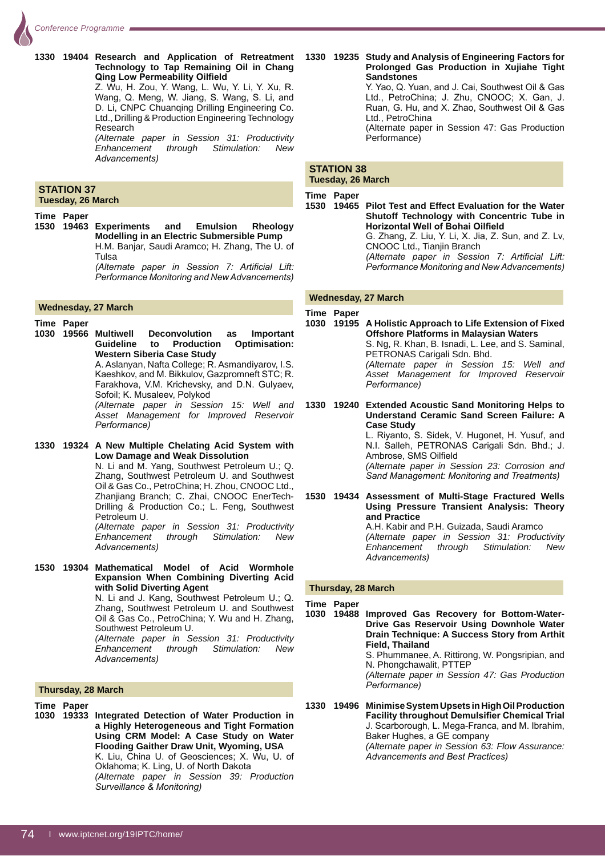**1330 19404 Research and Application of Retreatment Technology to Tap Remaining Oil in Chang Qing Low Permeability Oilfield** Z. Wu, H. Zou, Y. Wang, L. Wu, Y. Li, Y. Xu, R. Wang, Q. Meng, W. Jiang, S. Wang, S. Li, and D. Li, CNPC Chuanqing Drilling Engineering Co. Ltd., Drilling & Production Engineering Technology Research

 *(Alternate paper in Session 31: Productivity Enhancement through Stimulation: New*  Advancements)

#### **STATION 37 Tuesday, 26 March**

#### **Time Paper**

**1530 19463 Experiments and Emulsion Rheology Modelling in an Electric Submersible Pump** H.M. Banjar, Saudi Aramco; H. Zhang, The U. of Tulsa *(Alternate paper in Session 7: Artificial Lift:* 

*Performance Monitoring and New Advancements)* 

#### **Wednesday, 27 March**

**Time Paper**

- **1030 19566 Multiwell Deconvolution as Important Guideline to Production Optimisation: Western Siberia Case Study** A. Aslanyan, Nafta College; R. Asmandiyarov, I.S. Kaeshkov, and M. Bikkulov, Gazpromneft STC; R. Farakhova, V.M. Krichevsky, and D.N. Gulyaev, Sofoil; K. Musaleev, Polykod *(Alternate paper in Session 15: Well and Asset Management for Improved Reservoir*   $Performance)$
- **1330 19324 A New Multiple Chelating Acid System with Low Damage and Weak Dissolution** N. Li and M. Yang, Southwest Petroleum U.; Q. Zhang, Southwest Petroleum U. and Southwest Oil & Gas Co., PetroChina; H. Zhou, CNOOC Ltd., Zhanjiang Branch; C. Zhai, CNOOC EnerTech-Drilling & Production Co.; L. Feng, Southwest Petroleum U. *(Alternate paper in Session 31: Productivity Enhancement through Stimulation: New*   $Advancements)$
- **1530 19304 Mathematical Model of Acid Wormhole Expansion When Combining Diverting Acid with Solid Diverting Agent**

N. Li and J. Kang, Southwest Petroleum U.; Q. Zhang, Southwest Petroleum U. and Southwest Oil & Gas Co., PetroChina; Y. Wu and H. Zhang, Southwest Petroleum U. *(Alternate paper in Session 31: Productivity* 

*Enhancement through Stimulation: New*  Advancements)

- **Thursday, 28 March**
- **Time Paper**
- **1030 19333 Integrated Detection of Water Production in a Highly Heterogeneous and Tight Formation Using CRM Model: A Case Study on Water Flooding Gaither Draw Unit, Wyoming, USA** K. Liu, China U. of Geosciences; X. Wu, U. of Oklahoma; K. Ling, U. of North Dakota *(Alternate paper in Session 39: Production <i>Surveillance & Monitoring*)

**1330 19235 Study and Analysis of Engineering Factors for Prolonged Gas Production in Xujiahe Tight Sandstones**

Y. Yao, Q. Yuan, and J. Cai, Southwest Oil & Gas Ltd., PetroChina; J. Zhu, CNOOC; X. Gan, J. Ruan, G. Hu, and X. Zhao, Southwest Oil & Gas Ltd., PetroChina

 (Alternate paper in Session 47: Gas Production Performance)

#### **STATION 38 Tuesday, 26 March**

#### **Time Paper**

**1530 19465 Pilot Test and Effect Evaluation for the Water Shutoff Technology with Concentric Tube in Horizontal Well of Bohai Oilfield** G. Zhang, Z. Liu, Y. Li, X. Jia, Z. Sun, and Z. Lv, CNOOC Ltd., Tianjin Branch *(Alternate paper in Session 7: Artificial Lift: Performance Monitoring and New Advancements)* 

#### **Wednesday, 27 March**

**Time Paper 1030 19195 A Holistic Approach to Life Extension of Fixed Offshore Platforms in Malaysian Waters** S. Ng, R. Khan, B. Isnadi, L. Lee, and S. Saminal, PETRONAS Carigali Sdn. Bhd. *(Alternate paper in Session 15: Well and Asset Management for Improved Reservoir*   $Performance)$ 

**1330 19240 Extended Acoustic Sand Monitoring Helps to Understand Ceramic Sand Screen Failure: A Case Study**  L. Riyanto, S. Sidek, V. Hugonet, H. Yusuf, and N.I. Salleh, PETRONAS Carigali Sdn. Bhd.; J. Ambrose, SMS Oilfield *(Alternate paper in Session 23: Corrosion and Sand Management: Monitoring and Treatments)* 

**1530 19434 Assessment of Multi-Stage Fractured Wells Using Pressure Transient Analysis: Theory and Practice** A.H. Kabir and P.H. Guizada, Saudi Aramco *(Alternate paper in Session 31: Productivity Enhancement through Stimulation: New*  Advancements)

#### **Thursday, 28 March**

**Time Paper**

**1030 19488 Improved Gas Recovery for Bottom-Water-Drive Gas Reservoir Using Downhole Water Drain Technique: A Success Story from Arthit Field, Thailand**

 S. Phummanee, A. Rittirong, W. Pongsripian, and N. Phongchawalit, PTTEP

 *(Alternate paper in Session 47: Gas Production*   $P$ *erformance*)

**1330 19496 Minimise System Upsets in High Oil Production Facility throughout Demulsifier Chemical Trial** J. Scarborough, L. Mega-Franca, and M. Ibrahim, Baker Hughes, a GE company *(Alternate paper in Session 63: Flow Assurance:*  Advancements and Best Practices)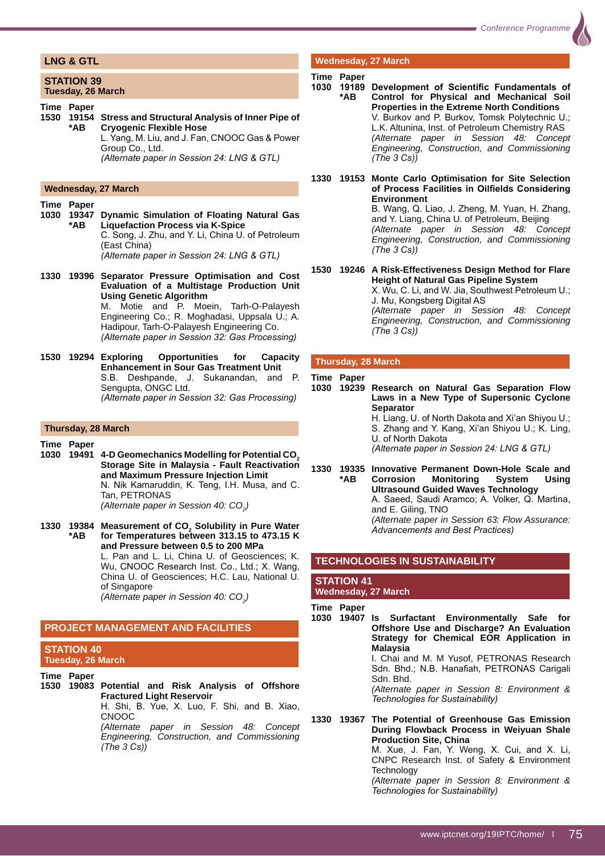# **LNG & GTL**

#### **STATION 39 Tuesday, 26 March**

**Time Paper**

#### **Wednesday, 27 March**

#### **Time Paper**

- **1030 19347 Dynamic Simulation of Floating Natural Gas \*AB Liquefaction Process via K-Spice** C. Song, J. Zhu, and Y. Li, China U. of Petroleum (East China) *(Alternate paper in Session 24: LNG & GTL)*
- **1330 19396 Separator Pressure Optimisation and Cost Evaluation of a Multistage Production Unit Using Genetic Algorithm** M. Motie and P. Moein, Tarh-O-Palayesh Engineering Co.; R. Moghadasi, Uppsala U.; A. Hadipour, Tarh-O-Palayesh Engineering Co. *(Alternate paper in Session 32: Gas Processing)*
- **1530 19294 Exploring Opportunities for Capacity Enhancement in Sour Gas Treatment Unit** S.B. Deshpande, J. Sukanandan, and P. Sengupta, ONGC Ltd. *(Alternate paper in Session 32: Gas Processing)*

#### **Thursday, 28 March**

**Time Paper**

- **1030 19491 4-D Geomechanics Modelling for Potential CO2 Storage Site in Malaysia - Fault Reactivation and Maximum Pressure Injection Limit** N. Nik Kamaruddin, K. Teng, I.H. Musa, and C. Tan, PETRONAS *(Alternate paper in Session 40: CO<sub>2</sub>)*
- 1330 19384 Measurement of CO<sub>2</sub> Solubility in Pure Water  **\*AB for Temperatures between 313.15 to 473.15 K and Pressure between 0.5 to 200 MPa** L. Pan and L. Li, China U. of Geosciences; K. Wu, CNOOC Research Inst. Co., Ltd.; X. Wang, China U. of Geosciences; H.C. Lau, National U. of Singapore *(Alternate paper in Session 40: CO<sub>2</sub>)*

#### **PROJECT MANAGEMENT AND FACILITIES**

*(The 3 Cs))* 

#### **STATION 40 Tuesday, 26 March**

**Time Paper 1530 19083 Potential and Risk Analysis of Offshore Fractured Light Reservoir** H. Shi, B. Yue, X. Luo, F. Shi, and B. Xiao, CNOOC *(Alternate paper in Session 48: Concept Engineering, Construction, and Commissioning* 

# **Wednesday, 27 March**

#### **Time Paper**

- 1030 19189 Development of Scientific Fundamentals of  **\*AB Control for Physical and Mechanical Soil Properties in the Extreme North Conditions** V. Burkov and P. Burkov, Tomsk Polytechnic U.; L.K. Altunina, Inst. of Petroleum Chemistry RAS *(Alternate paper in Session 48: Concept Engineering, Construction, and Commissioning (The 3 Cs))*
- **1330 19153 Monte Carlo Optimisation for Site Selection**  of Process Facilities in Oilfields Considering **Environment**

B. Wang, Q. Liao, J. Zheng, M. Yuan, H. Zhang, and Y. Liang, China U. of Petroleum, Beijing *(Alternate paper in Session 48: Concept Engineering, Construction, and Commissioning (The 3 Cs))* 

**1530 19246 A Risk-Effectiveness Design Method for Flare Height of Natural Gas Pipeline System** X. Wu, C. Li, and W. Jia, Southwest Petroleum U.;

J. Mu, Kongsberg Digital AS *(Alternate paper in Session 48: Concept Engineering, Construction, and Commissioning* 

#### **Thursday, 28 March**

*(The 3 Cs))* 

#### **Time Paper**

**1030 19239 Research on Natural Gas Separation Flow Laws in a New Type of Supersonic Cyclone Separator** H. Liang, U. of North Dakota and Xi'an Shiyou U.; S. Zhang and Y. Kang, Xi'an Shiyou U.; K. Ling, U. of North Dakota *(Alternate paper in Session 24: LNG & GTL)* 

**1330 19335 Innovative Permanent Down-Hole Scale and \*AB Corrosion Monitoring System Using Ultrasound Guided Waves Technology** A. Saeed, Saudi Aramco; A. Volker, Q. Martina, and E. Giling, TNO *(Alternate paper in Session 63: Flow Assurance:*  Advancements and Best Practices)

#### **TECHNOLOGIES IN SUSTAINABILITY**

#### **STATION 41 Wednesday, 27 March**

**Time Paper**

**1030 19407 Is Surfactant Environmentally Safe for Offshore Use and Discharge? An Evaluation Strategy for Chemical EOR Application in Malaysia**

 I. Chai and M. M Yusof, PETRONAS Research Sdn. Bhd.; N.B. Hanafiah, PETRONAS Carigali Sdn. Bhd.

 *(Alternate paper in Session 8: Environment &*   $Technologies for$  Sustainability)

**1330 19367 The Potential of Greenhouse Gas Emission During Flowback Process in Weiyuan Shale Production Site, China** M. Xue, J. Fan, Y. Weng, X. Cui, and X. Li, CNPC Research Inst. of Safety & Environment **Technology** *(Alternate paper in Session 8: Environment &* 

*<i>Technologies for Sustainability* 

**<sup>1530 19154</sup> Stress and Structural Analysis of Inner Pipe of \*AB Cryogenic Flexible Hose** L. Yang, M. Liu, and J. Fan, CNOOC Gas & Power Group Co., Ltd. *(Alternate paper in Session 24: LNG & GTL)*